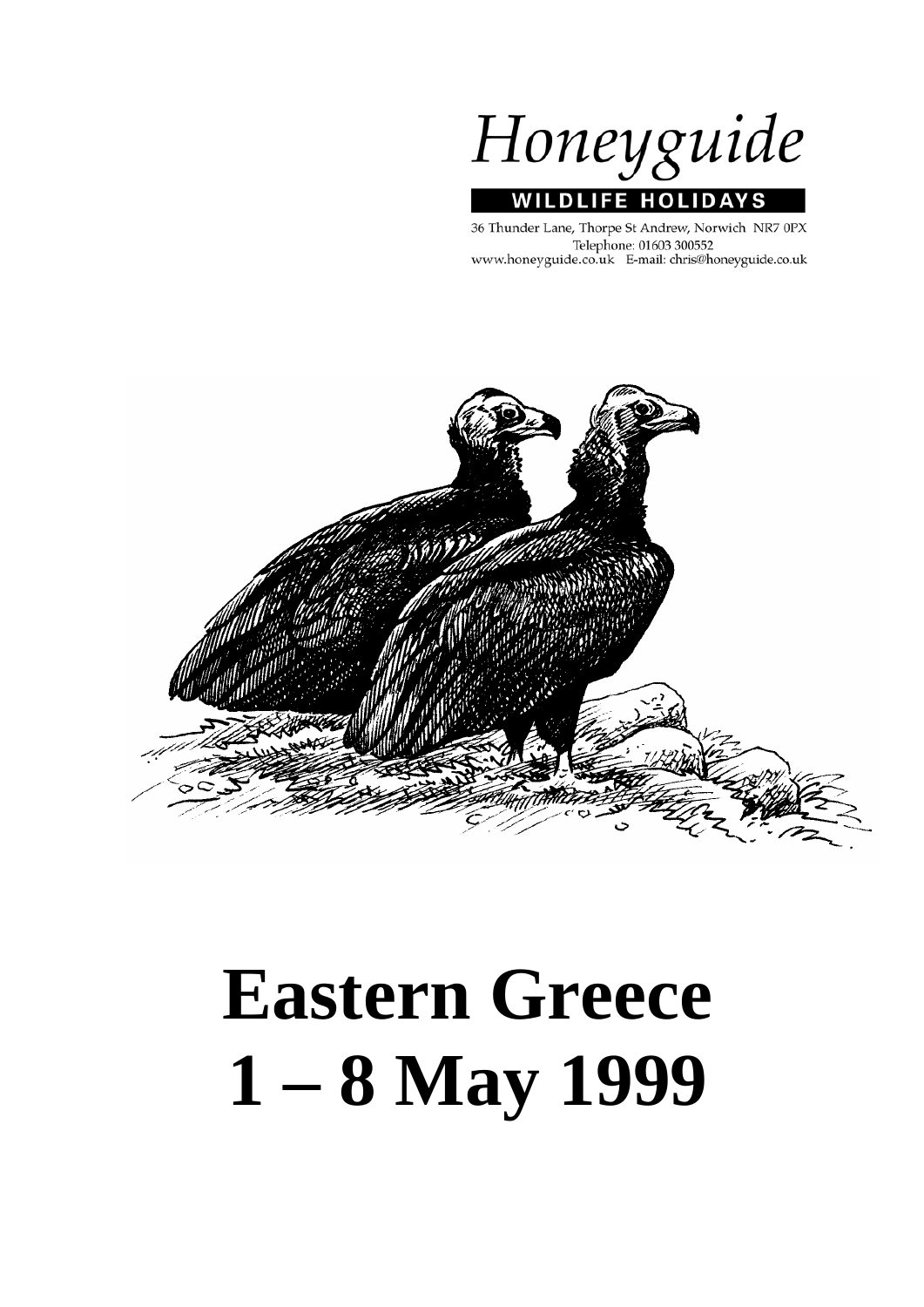Honeyguide **WILDLIFE HOLIDA** 

36 Thunder Lane, Thorpe St Andrew, Norwich NR7 0PX Telephone: 01603 300552 www.honeyguide.co.uk E-mail: chris@honeyguide.co.uk

ΥS



# **Eastern Greece 1 – 8 May 1999**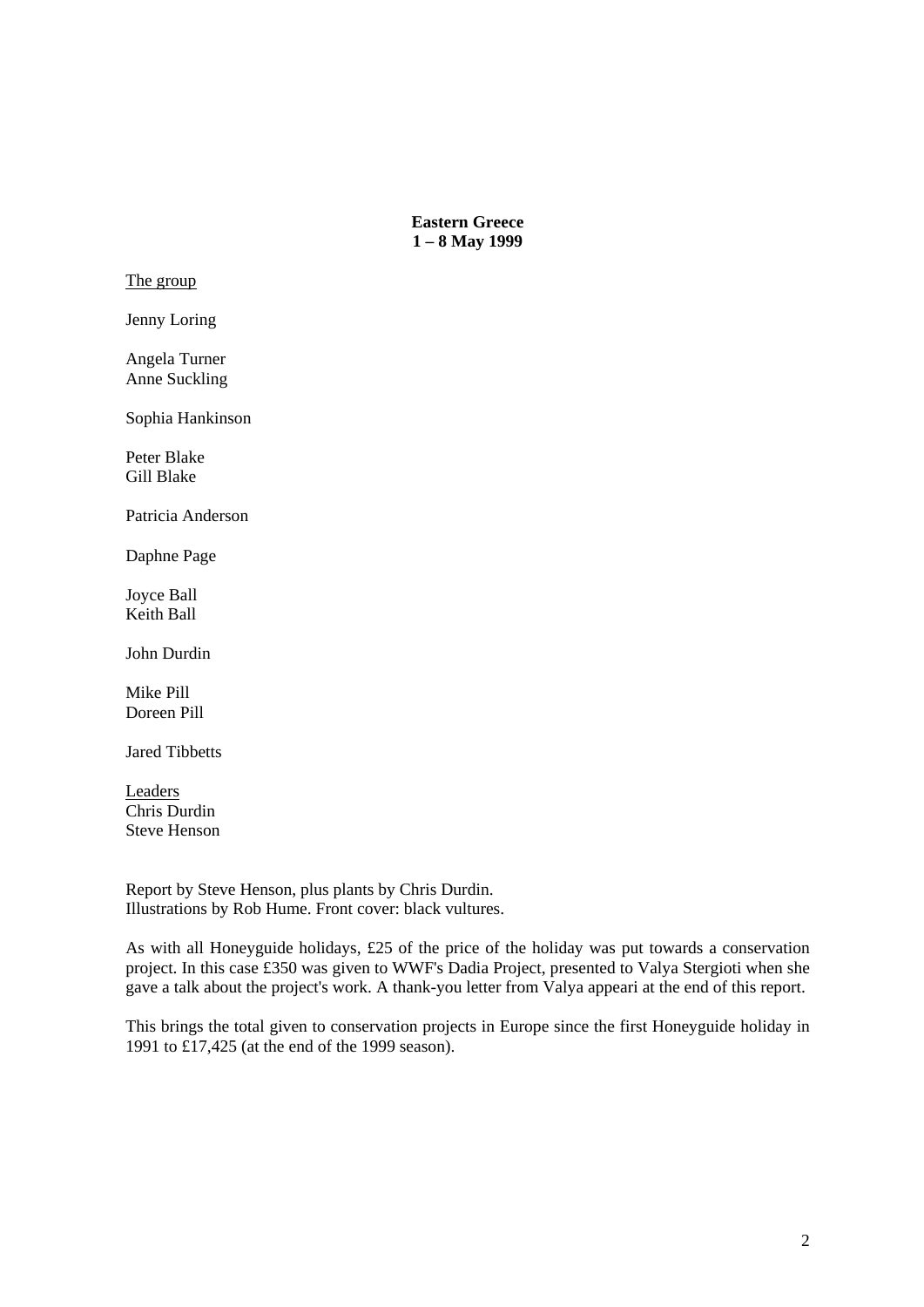**Eastern Greece 1 – 8 May 1999** 

The group

Jenny Loring

Angela Turner Anne Suckling

Sophia Hankinson

Peter Blake Gill Blake

Patricia Anderson

Daphne Page

Joyce Ball Keith Ball

John Durdin

Mike Pill Doreen Pill

Jared Tibbetts

Leaders Chris Durdin Steve Henson

Report by Steve Henson, plus plants by Chris Durdin. Illustrations by Rob Hume. Front cover: black vultures.

As with all Honeyguide holidays, £25 of the price of the holiday was put towards a conservation project. In this case £350 was given to WWF's Dadia Project, presented to Valya Stergioti when she gave a talk about the project's work. A thank-you letter from Valya appeari at the end of this report.

This brings the total given to conservation projects in Europe since the first Honeyguide holiday in 1991 to £17,425 (at the end of the 1999 season).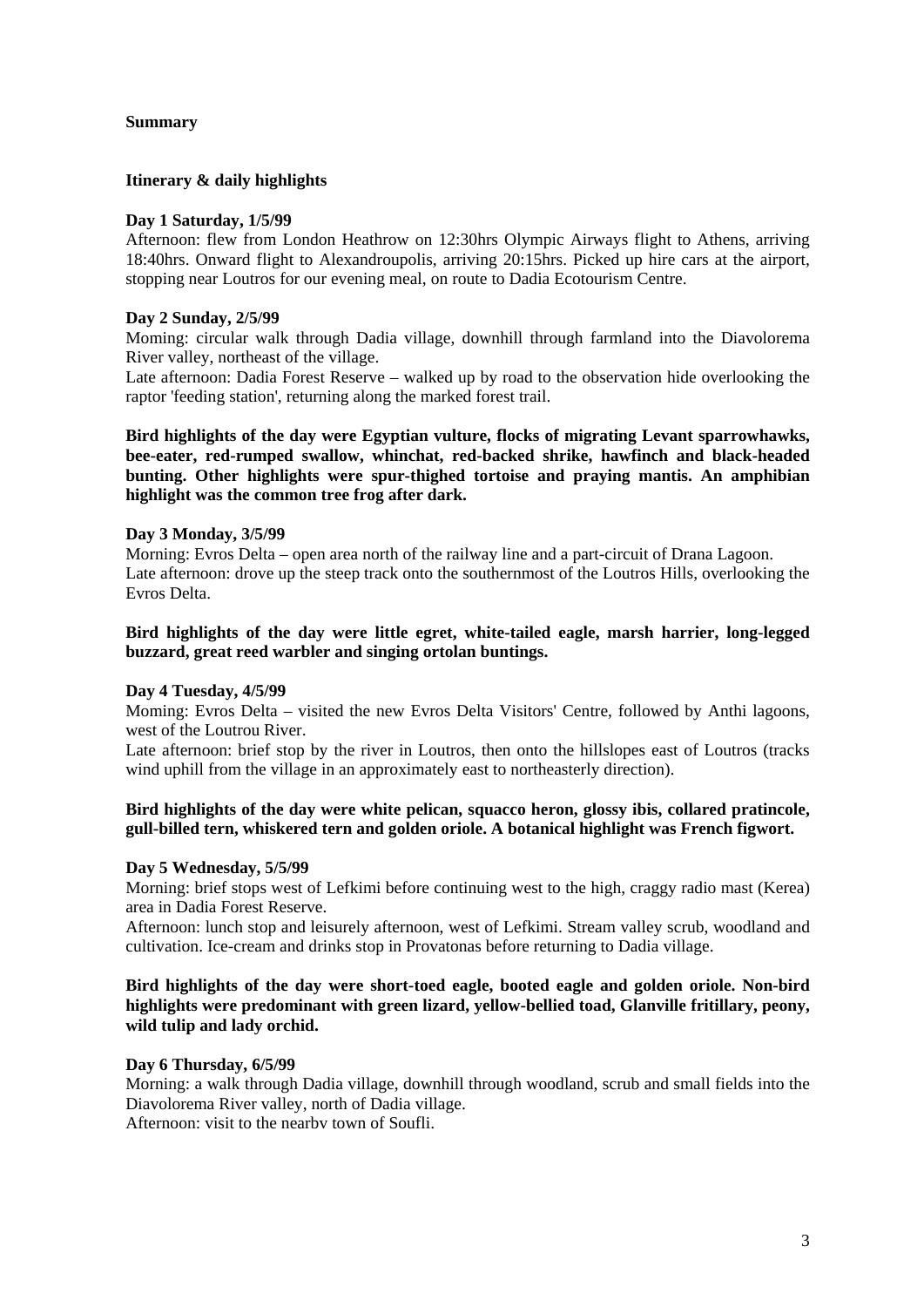#### **Summary**

#### **Itinerary & daily highlights**

#### **Day 1 Saturday, 1/5/99**

Afternoon: flew from London Heathrow on 12:30hrs Olympic Airways flight to Athens, arriving 18:40hrs. Onward flight to Alexandroupolis, arriving 20:15hrs. Picked up hire cars at the airport, stopping near Loutros for our evening meal, on route to Dadia Ecotourism Centre.

#### **Day 2 Sunday, 2/5/99**

Moming: circular walk through Dadia village, downhill through farmland into the Diavolorema River valley, northeast of the village.

Late afternoon: Dadia Forest Reserve – walked up by road to the observation hide overlooking the raptor 'feeding station', returning along the marked forest trail.

**Bird highlights of the day were Egyptian vulture, flocks of migrating Levant sparrowhawks, bee-eater, red-rumped swallow, whinchat, red-backed shrike, hawfinch and black-headed bunting. Other highlights were spur-thighed tortoise and praying mantis. An amphibian highlight was the common tree frog after dark.** 

# **Day 3 Monday, 3/5/99**

Morning: Evros Delta – open area north of the railway line and a part-circuit of Drana Lagoon. Late afternoon: drove up the steep track onto the southernmost of the Loutros Hills, overlooking the Evros Delta.

#### **Bird highlights of the day were little egret, white-tailed eagle, marsh harrier, long-legged buzzard, great reed warbler and singing ortolan buntings.**

#### **Day 4 Tuesday, 4/5/99**

Moming: Evros Delta – visited the new Evros Delta Visitors' Centre, followed by Anthi lagoons, west of the Loutrou River.

Late afternoon: brief stop by the river in Loutros, then onto the hillslopes east of Loutros (tracks wind uphill from the village in an approximately east to northeasterly direction).

# **Bird highlights of the day were white pelican, squacco heron, glossy ibis, collared pratincole, gull-billed tern, whiskered tern and golden oriole. A botanical highlight was French figwort.**

#### **Day 5 Wednesday, 5/5/99**

Morning: brief stops west of Lefkimi before continuing west to the high, craggy radio mast (Kerea) area in Dadia Forest Reserve.

Afternoon: lunch stop and leisurely afternoon, west of Lefkimi. Stream valley scrub, woodland and cultivation. Ice-cream and drinks stop in Provatonas before returning to Dadia village.

# **Bird highlights of the day were short-toed eagle, booted eagle and golden oriole. Non-bird highlights were predominant with green lizard, yellow-bellied toad, Glanville fritillary, peony, wild tulip and lady orchid.**

#### **Day 6 Thursday, 6/5/99**

Morning: a walk through Dadia village, downhill through woodland, scrub and small fields into the Diavolorema River valley, north of Dadia village.

Afternoon: visit to the nearbv town of Soufli.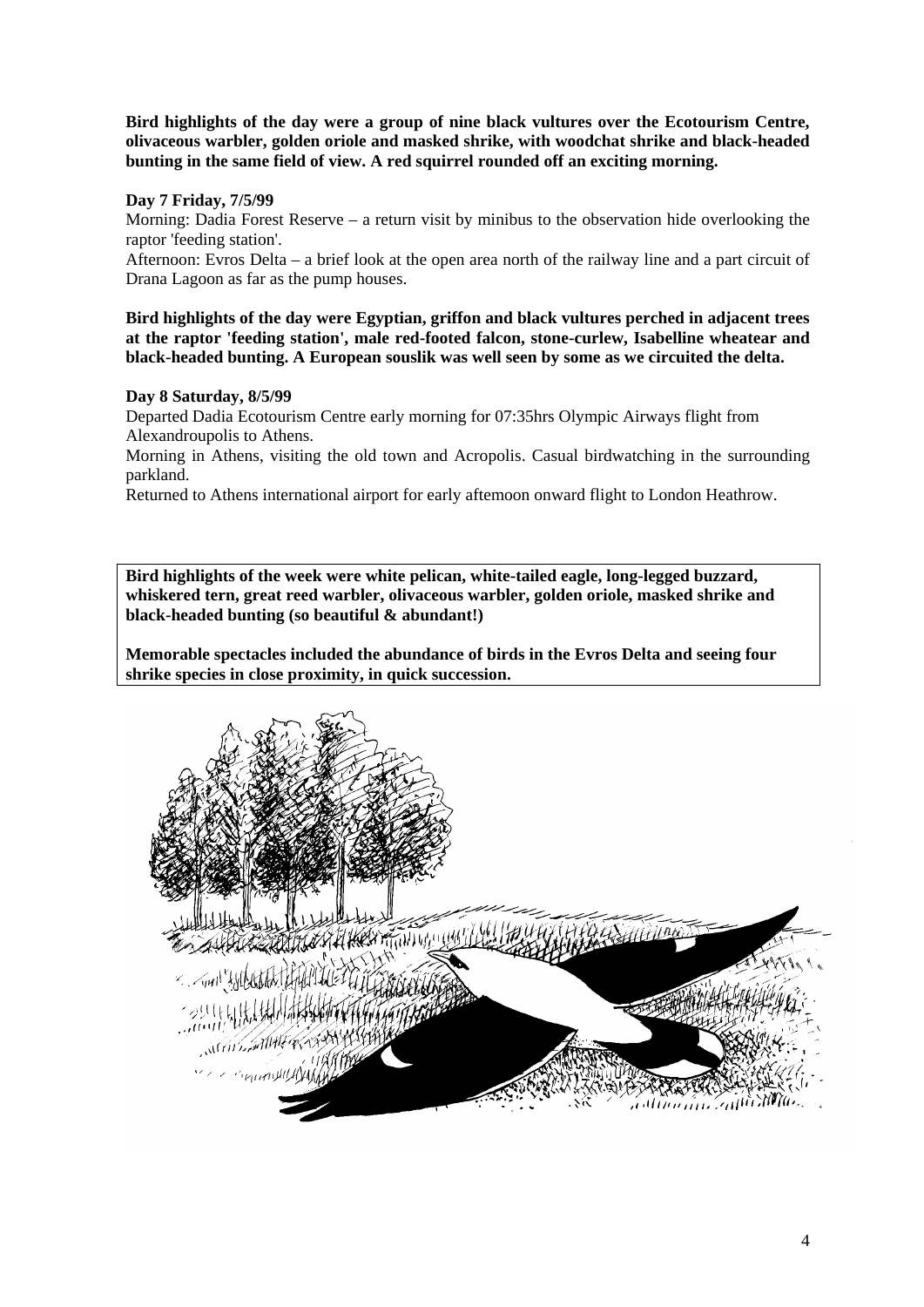**Bird highlights of the day were a group of nine black vultures over the Ecotourism Centre, olivaceous warbler, golden oriole and masked shrike, with woodchat shrike and black-headed bunting in the same field of view. A red squirrel rounded off an exciting morning.** 

# **Day 7 Friday, 7/5/99**

Morning: Dadia Forest Reserve – a return visit by minibus to the observation hide overlooking the raptor 'feeding station'.

Afternoon: Evros Delta – a brief look at the open area north of the railway line and a part circuit of Drana Lagoon as far as the pump houses.

**Bird highlights of the day were Egyptian, griffon and black vultures perched in adjacent trees at the raptor 'feeding station', male red-footed falcon, stone-curlew, Isabelline wheatear and black-headed bunting. A European souslik was well seen by some as we circuited the delta.** 

# **Day 8 Saturday, 8/5/99**

Departed Dadia Ecotourism Centre early morning for 07:35hrs Olympic Airways flight from Alexandroupolis to Athens.

Morning in Athens, visiting the old town and Acropolis. Casual birdwatching in the surrounding parkland.

Returned to Athens international airport for early aftemoon onward flight to London Heathrow.

**Bird highlights of the week were white pelican, white-tailed eagle, long-legged buzzard, whiskered tern, great reed warbler, olivaceous warbler, golden oriole, masked shrike and black-headed bunting (so beautiful & abundant!)** 

**Memorable spectacles included the abundance of birds in the Evros Delta and seeing four shrike species in close proximity, in quick succession.** 

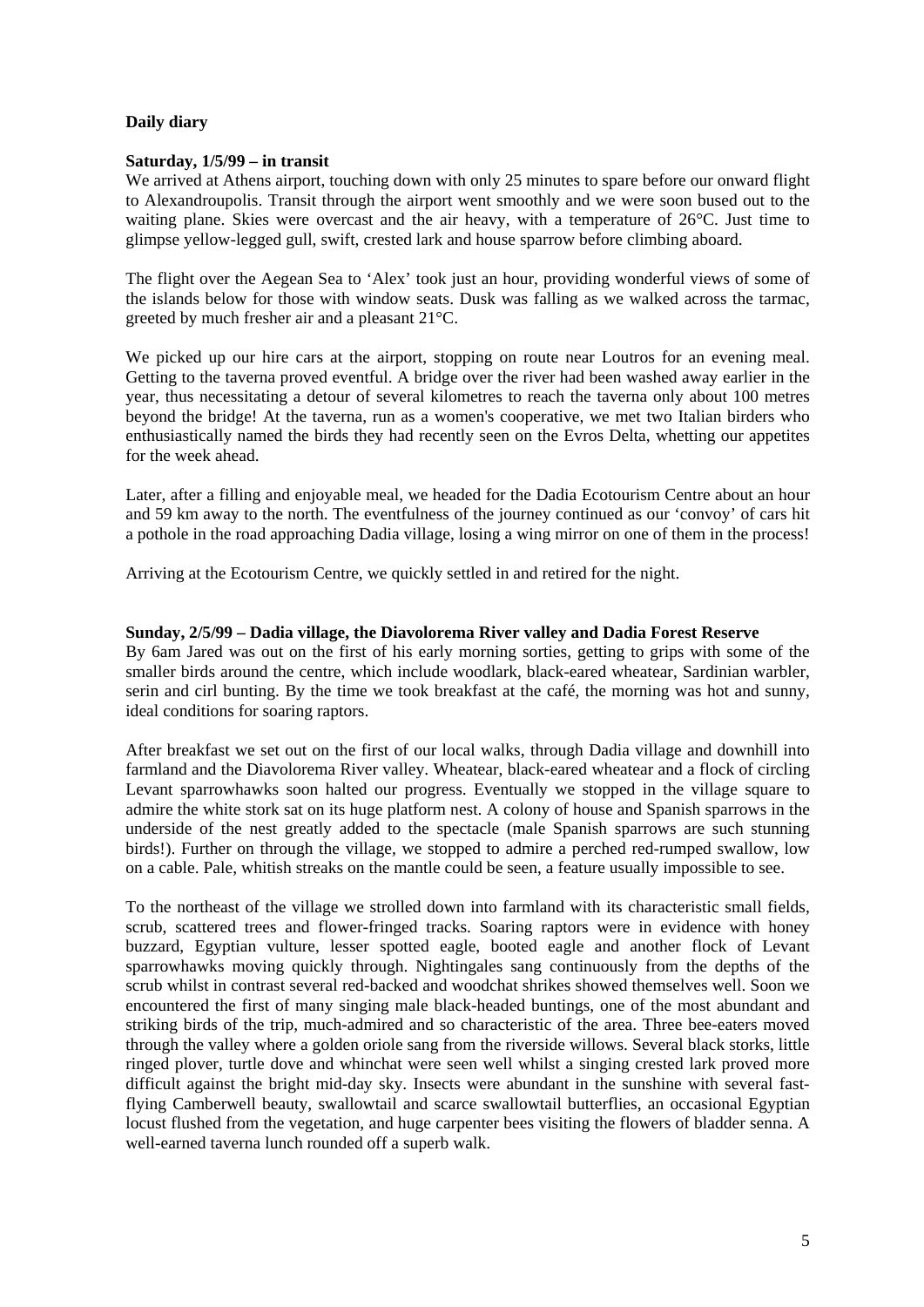# **Daily diary**

## **Saturday, 1/5/99 – in transit**

We arrived at Athens airport, touching down with only 25 minutes to spare before our onward flight to Alexandroupolis. Transit through the airport went smoothly and we were soon bused out to the waiting plane. Skies were overcast and the air heavy, with a temperature of 26°C. Just time to glimpse yellow-legged gull, swift, crested lark and house sparrow before climbing aboard.

The flight over the Aegean Sea to 'Alex' took just an hour, providing wonderful views of some of the islands below for those with window seats. Dusk was falling as we walked across the tarmac, greeted by much fresher air and a pleasant 21°C.

We picked up our hire cars at the airport, stopping on route near Loutros for an evening meal. Getting to the taverna proved eventful. A bridge over the river had been washed away earlier in the year, thus necessitating a detour of several kilometres to reach the taverna only about 100 metres beyond the bridge! At the taverna, run as a women's cooperative, we met two Italian birders who enthusiastically named the birds they had recently seen on the Evros Delta, whetting our appetites for the week ahead.

Later, after a filling and enjoyable meal, we headed for the Dadia Ecotourism Centre about an hour and 59 km away to the north. The eventfulness of the journey continued as our 'convoy' of cars hit a pothole in the road approaching Dadia village, losing a wing mirror on one of them in the process!

Arriving at the Ecotourism Centre, we quickly settled in and retired for the night.

#### **Sunday, 2/5/99 – Dadia village, the Diavolorema River valley and Dadia Forest Reserve**

By 6am Jared was out on the first of his early morning sorties, getting to grips with some of the smaller birds around the centre, which include woodlark, black-eared wheatear, Sardinian warbler, serin and cirl bunting. By the time we took breakfast at the café, the morning was hot and sunny, ideal conditions for soaring raptors.

After breakfast we set out on the first of our local walks, through Dadia village and downhill into farmland and the Diavolorema River valley. Wheatear, black-eared wheatear and a flock of circling Levant sparrowhawks soon halted our progress. Eventually we stopped in the village square to admire the white stork sat on its huge platform nest. A colony of house and Spanish sparrows in the underside of the nest greatly added to the spectacle (male Spanish sparrows are such stunning birds!). Further on through the village, we stopped to admire a perched red-rumped swallow, low on a cable. Pale, whitish streaks on the mantle could be seen, a feature usually impossible to see.

To the northeast of the village we strolled down into farmland with its characteristic small fields, scrub, scattered trees and flower-fringed tracks. Soaring raptors were in evidence with honey buzzard, Egyptian vulture, lesser spotted eagle, booted eagle and another flock of Levant sparrowhawks moving quickly through. Nightingales sang continuously from the depths of the scrub whilst in contrast several red-backed and woodchat shrikes showed themselves well. Soon we encountered the first of many singing male black-headed buntings, one of the most abundant and striking birds of the trip, much-admired and so characteristic of the area. Three bee-eaters moved through the valley where a golden oriole sang from the riverside willows. Several black storks, little ringed plover, turtle dove and whinchat were seen well whilst a singing crested lark proved more difficult against the bright mid-day sky. Insects were abundant in the sunshine with several fastflying Camberwell beauty, swallowtail and scarce swallowtail butterflies, an occasional Egyptian locust flushed from the vegetation, and huge carpenter bees visiting the flowers of bladder senna. A well-earned taverna lunch rounded off a superb walk.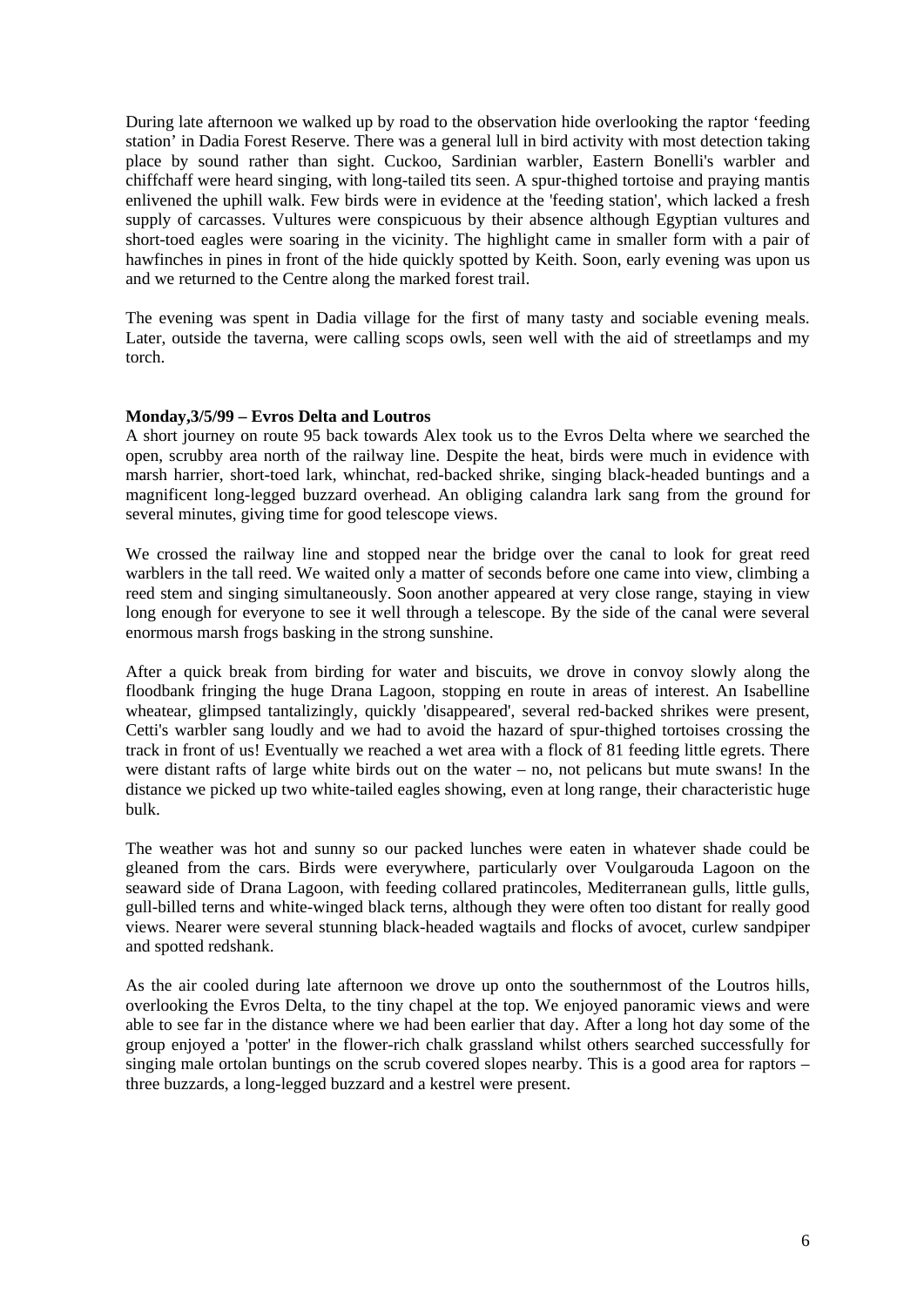During late afternoon we walked up by road to the observation hide overlooking the raptor 'feeding station' in Dadia Forest Reserve. There was a general lull in bird activity with most detection taking place by sound rather than sight. Cuckoo, Sardinian warbler, Eastern Bonelli's warbler and chiffchaff were heard singing, with long-tailed tits seen. A spur-thighed tortoise and praying mantis enlivened the uphill walk. Few birds were in evidence at the 'feeding station', which lacked a fresh supply of carcasses. Vultures were conspicuous by their absence although Egyptian vultures and short-toed eagles were soaring in the vicinity. The highlight came in smaller form with a pair of hawfinches in pines in front of the hide quickly spotted by Keith. Soon, early evening was upon us and we returned to the Centre along the marked forest trail.

The evening was spent in Dadia village for the first of many tasty and sociable evening meals. Later, outside the taverna, were calling scops owls, seen well with the aid of streetlamps and my torch.

# **Monday,3/5/99 – Evros Delta and Loutros**

A short journey on route 95 back towards Alex took us to the Evros Delta where we searched the open, scrubby area north of the railway line. Despite the heat, birds were much in evidence with marsh harrier, short-toed lark, whinchat, red-backed shrike, singing black-headed buntings and a magnificent long-legged buzzard overhead. An obliging calandra lark sang from the ground for several minutes, giving time for good telescope views.

We crossed the railway line and stopped near the bridge over the canal to look for great reed warblers in the tall reed. We waited only a matter of seconds before one came into view, climbing a reed stem and singing simultaneously. Soon another appeared at very close range, staying in view long enough for everyone to see it well through a telescope. By the side of the canal were several enormous marsh frogs basking in the strong sunshine.

After a quick break from birding for water and biscuits, we drove in convoy slowly along the floodbank fringing the huge Drana Lagoon, stopping en route in areas of interest. An Isabelline wheatear, glimpsed tantalizingly, quickly 'disappeared', several red-backed shrikes were present, Cetti's warbler sang loudly and we had to avoid the hazard of spur-thighed tortoises crossing the track in front of us! Eventually we reached a wet area with a flock of 81 feeding little egrets. There were distant rafts of large white birds out on the water – no, not pelicans but mute swans! In the distance we picked up two white-tailed eagles showing, even at long range, their characteristic huge bulk.

The weather was hot and sunny so our packed lunches were eaten in whatever shade could be gleaned from the cars. Birds were everywhere, particularly over Voulgarouda Lagoon on the seaward side of Drana Lagoon, with feeding collared pratincoles, Mediterranean gulls, little gulls, gull-billed terns and white-winged black terns, although they were often too distant for really good views. Nearer were several stunning black-headed wagtails and flocks of avocet, curlew sandpiper and spotted redshank.

As the air cooled during late afternoon we drove up onto the southernmost of the Loutros hills, overlooking the Evros Delta, to the tiny chapel at the top. We enjoyed panoramic views and were able to see far in the distance where we had been earlier that day. After a long hot day some of the group enjoyed a 'potter' in the flower-rich chalk grassland whilst others searched successfully for singing male ortolan buntings on the scrub covered slopes nearby. This is a good area for raptors – three buzzards, a long-legged buzzard and a kestrel were present.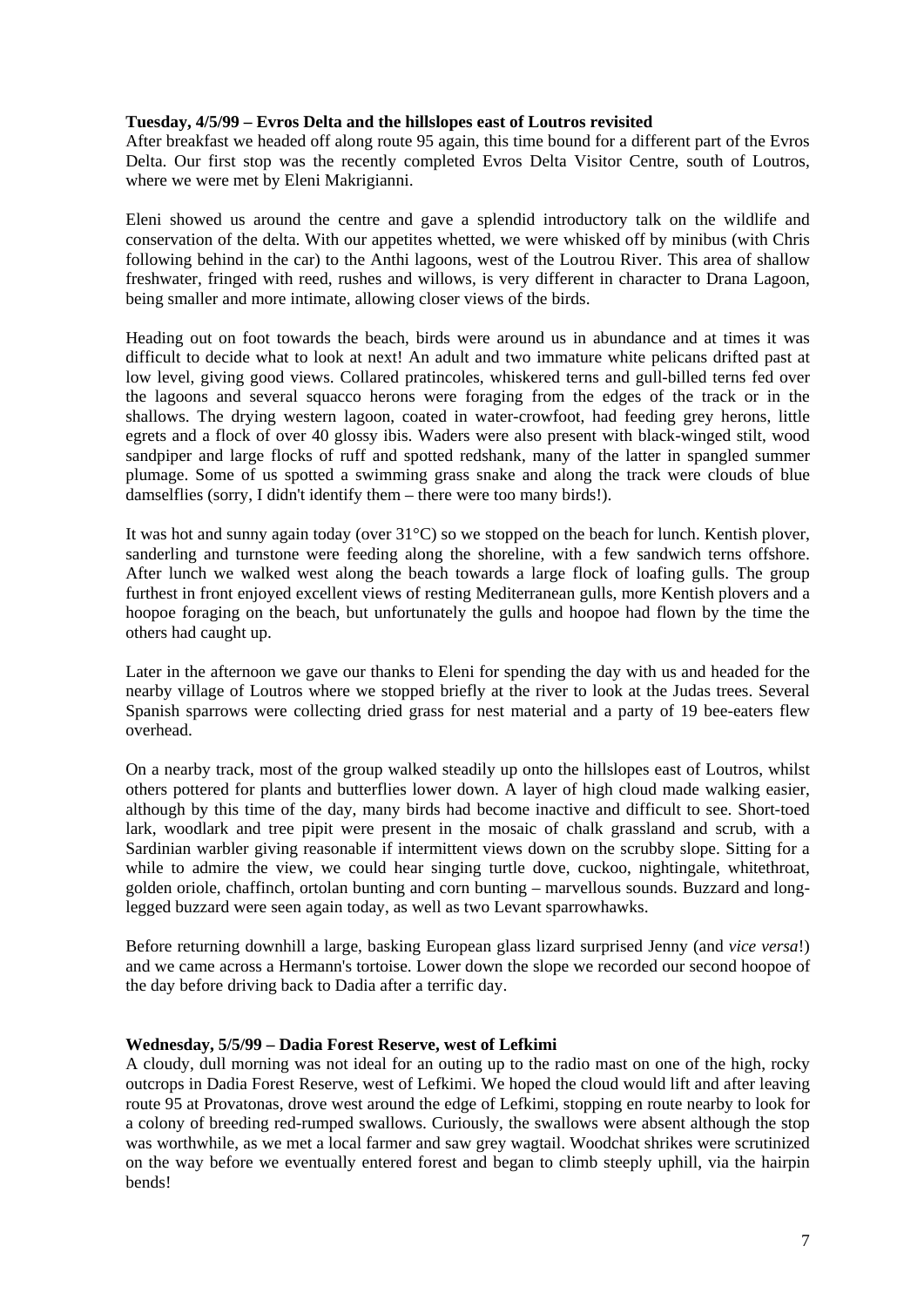#### **Tuesday, 4/5/99 – Evros Delta and the hillslopes east of Loutros revisited**

After breakfast we headed off along route 95 again, this time bound for a different part of the Evros Delta. Our first stop was the recently completed Evros Delta Visitor Centre, south of Loutros, where we were met by Eleni Makrigianni.

Eleni showed us around the centre and gave a splendid introductory talk on the wildlife and conservation of the delta. With our appetites whetted, we were whisked off by minibus (with Chris following behind in the car) to the Anthi lagoons, west of the Loutrou River. This area of shallow freshwater, fringed with reed, rushes and willows, is very different in character to Drana Lagoon, being smaller and more intimate, allowing closer views of the birds.

Heading out on foot towards the beach, birds were around us in abundance and at times it was difficult to decide what to look at next! An adult and two immature white pelicans drifted past at low level, giving good views. Collared pratincoles, whiskered terns and gull-billed terns fed over the lagoons and several squacco herons were foraging from the edges of the track or in the shallows. The drying western lagoon, coated in water-crowfoot, had feeding grey herons, little egrets and a flock of over 40 glossy ibis. Waders were also present with black-winged stilt, wood sandpiper and large flocks of ruff and spotted redshank, many of the latter in spangled summer plumage. Some of us spotted a swimming grass snake and along the track were clouds of blue damselflies (sorry, I didn't identify them – there were too many birds!).

It was hot and sunny again today (over 31°C) so we stopped on the beach for lunch. Kentish plover, sanderling and turnstone were feeding along the shoreline, with a few sandwich terns offshore. After lunch we walked west along the beach towards a large flock of loafing gulls. The group furthest in front enjoyed excellent views of resting Mediterranean gulls, more Kentish plovers and a hoopoe foraging on the beach, but unfortunately the gulls and hoopoe had flown by the time the others had caught up.

Later in the afternoon we gave our thanks to Eleni for spending the day with us and headed for the nearby village of Loutros where we stopped briefly at the river to look at the Judas trees. Several Spanish sparrows were collecting dried grass for nest material and a party of 19 bee-eaters flew overhead.

On a nearby track, most of the group walked steadily up onto the hillslopes east of Loutros, whilst others pottered for plants and butterflies lower down. A layer of high cloud made walking easier, although by this time of the day, many birds had become inactive and difficult to see. Short-toed lark, woodlark and tree pipit were present in the mosaic of chalk grassland and scrub, with a Sardinian warbler giving reasonable if intermittent views down on the scrubby slope. Sitting for a while to admire the view, we could hear singing turtle dove, cuckoo, nightingale, whitethroat, golden oriole, chaffinch, ortolan bunting and corn bunting – marvellous sounds. Buzzard and longlegged buzzard were seen again today, as well as two Levant sparrowhawks.

Before returning downhill a large, basking European glass lizard surprised Jenny (and *vice versa*!) and we came across a Hermann's tortoise. Lower down the slope we recorded our second hoopoe of the day before driving back to Dadia after a terrific day.

# **Wednesday, 5/5/99 – Dadia Forest Reserve, west of Lefkimi**

A cloudy, dull morning was not ideal for an outing up to the radio mast on one of the high, rocky outcrops in Dadia Forest Reserve, west of Lefkimi. We hoped the cloud would lift and after leaving route 95 at Provatonas, drove west around the edge of Lefkimi, stopping en route nearby to look for a colony of breeding red-rumped swallows. Curiously, the swallows were absent although the stop was worthwhile, as we met a local farmer and saw grey wagtail. Woodchat shrikes were scrutinized on the way before we eventually entered forest and began to climb steeply uphill, via the hairpin bends!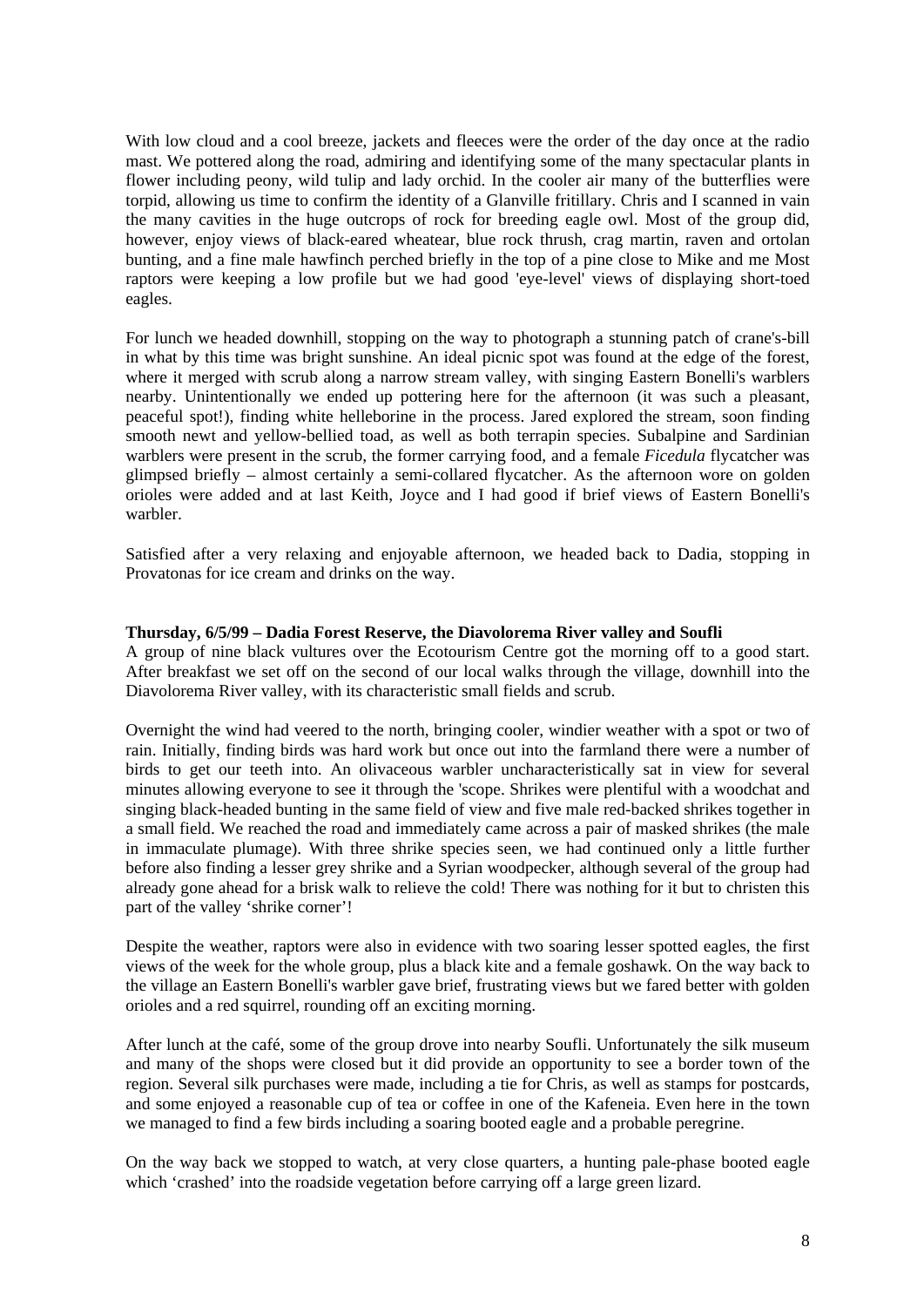With low cloud and a cool breeze, jackets and fleeces were the order of the day once at the radio mast. We pottered along the road, admiring and identifying some of the many spectacular plants in flower including peony, wild tulip and lady orchid. In the cooler air many of the butterflies were torpid, allowing us time to confirm the identity of a Glanville fritillary. Chris and I scanned in vain the many cavities in the huge outcrops of rock for breeding eagle owl. Most of the group did, however, enjoy views of black-eared wheatear, blue rock thrush, crag martin, raven and ortolan bunting, and a fine male hawfinch perched briefly in the top of a pine close to Mike and me Most raptors were keeping a low profile but we had good 'eye-level' views of displaying short-toed eagles.

For lunch we headed downhill, stopping on the way to photograph a stunning patch of crane's-bill in what by this time was bright sunshine. An ideal picnic spot was found at the edge of the forest, where it merged with scrub along a narrow stream valley, with singing Eastern Bonelli's warblers nearby. Unintentionally we ended up pottering here for the afternoon (it was such a pleasant, peaceful spot!), finding white helleborine in the process. Jared explored the stream, soon finding smooth newt and yellow-bellied toad, as well as both terrapin species. Subalpine and Sardinian warblers were present in the scrub, the former carrying food, and a female *Ficedula* flycatcher was glimpsed briefly – almost certainly a semi-collared flycatcher. As the afternoon wore on golden orioles were added and at last Keith, Joyce and I had good if brief views of Eastern Bonelli's warbler.

Satisfied after a very relaxing and enjoyable afternoon, we headed back to Dadia, stopping in Provatonas for ice cream and drinks on the way.

#### **Thursday, 6/5/99 – Dadia Forest Reserve, the Diavolorema River valley and Soufli**

A group of nine black vultures over the Ecotourism Centre got the morning off to a good start. After breakfast we set off on the second of our local walks through the village, downhill into the Diavolorema River valley, with its characteristic small fields and scrub.

Overnight the wind had veered to the north, bringing cooler, windier weather with a spot or two of rain. Initially, finding birds was hard work but once out into the farmland there were a number of birds to get our teeth into. An olivaceous warbler uncharacteristically sat in view for several minutes allowing everyone to see it through the 'scope. Shrikes were plentiful with a woodchat and singing black-headed bunting in the same field of view and five male red-backed shrikes together in a small field. We reached the road and immediately came across a pair of masked shrikes (the male in immaculate plumage). With three shrike species seen, we had continued only a little further before also finding a lesser grey shrike and a Syrian woodpecker, although several of the group had already gone ahead for a brisk walk to relieve the cold! There was nothing for it but to christen this part of the valley 'shrike corner'!

Despite the weather, raptors were also in evidence with two soaring lesser spotted eagles, the first views of the week for the whole group, plus a black kite and a female goshawk. On the way back to the village an Eastern Bonelli's warbler gave brief, frustrating views but we fared better with golden orioles and a red squirrel, rounding off an exciting morning.

After lunch at the café, some of the group drove into nearby Soufli. Unfortunately the silk museum and many of the shops were closed but it did provide an opportunity to see a border town of the region. Several silk purchases were made, including a tie for Chris, as well as stamps for postcards, and some enjoyed a reasonable cup of tea or coffee in one of the Kafeneia. Even here in the town we managed to find a few birds including a soaring booted eagle and a probable peregrine.

On the way back we stopped to watch, at very close quarters, a hunting pale-phase booted eagle which 'crashed' into the roadside vegetation before carrying off a large green lizard.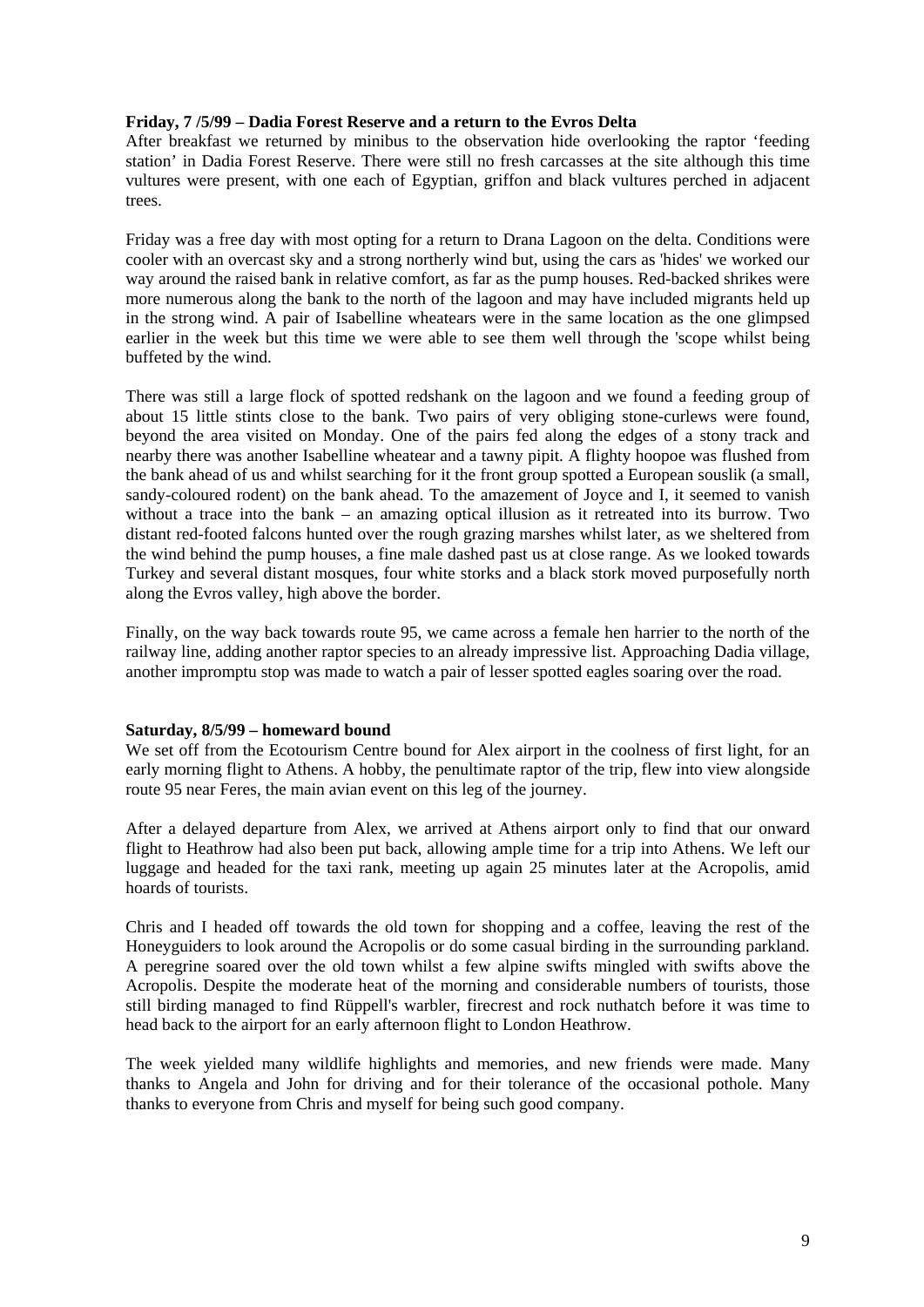## **Friday, 7 /5/99 – Dadia Forest Reserve and a return to the Evros Delta**

After breakfast we returned by minibus to the observation hide overlooking the raptor 'feeding station' in Dadia Forest Reserve. There were still no fresh carcasses at the site although this time vultures were present, with one each of Egyptian, griffon and black vultures perched in adjacent trees.

Friday was a free day with most opting for a return to Drana Lagoon on the delta. Conditions were cooler with an overcast sky and a strong northerly wind but, using the cars as 'hides' we worked our way around the raised bank in relative comfort, as far as the pump houses. Red-backed shrikes were more numerous along the bank to the north of the lagoon and may have included migrants held up in the strong wind. A pair of Isabelline wheatears were in the same location as the one glimpsed earlier in the week but this time we were able to see them well through the 'scope whilst being buffeted by the wind.

There was still a large flock of spotted redshank on the lagoon and we found a feeding group of about 15 little stints close to the bank. Two pairs of very obliging stone-curlews were found, beyond the area visited on Monday. One of the pairs fed along the edges of a stony track and nearby there was another Isabelline wheatear and a tawny pipit. A flighty hoopoe was flushed from the bank ahead of us and whilst searching for it the front group spotted a European souslik (a small, sandy-coloured rodent) on the bank ahead. To the amazement of Joyce and I, it seemed to vanish without a trace into the bank – an amazing optical illusion as it retreated into its burrow. Two distant red-footed falcons hunted over the rough grazing marshes whilst later, as we sheltered from the wind behind the pump houses, a fine male dashed past us at close range. As we looked towards Turkey and several distant mosques, four white storks and a black stork moved purposefully north along the Evros valley, high above the border.

Finally, on the way back towards route 95, we came across a female hen harrier to the north of the railway line, adding another raptor species to an already impressive list. Approaching Dadia village, another impromptu stop was made to watch a pair of lesser spotted eagles soaring over the road.

#### **Saturday, 8/5/99 – homeward bound**

We set off from the Ecotourism Centre bound for Alex airport in the coolness of first light, for an early morning flight to Athens. A hobby, the penultimate raptor of the trip, flew into view alongside route 95 near Feres, the main avian event on this leg of the journey.

After a delayed departure from Alex, we arrived at Athens airport only to find that our onward flight to Heathrow had also been put back, allowing ample time for a trip into Athens. We left our luggage and headed for the taxi rank, meeting up again 25 minutes later at the Acropolis, amid hoards of tourists.

Chris and I headed off towards the old town for shopping and a coffee, leaving the rest of the Honeyguiders to look around the Acropolis or do some casual birding in the surrounding parkland. A peregrine soared over the old town whilst a few alpine swifts mingled with swifts above the Acropolis. Despite the moderate heat of the morning and considerable numbers of tourists, those still birding managed to find Rüppell's warbler, firecrest and rock nuthatch before it was time to head back to the airport for an early afternoon flight to London Heathrow.

The week yielded many wildlife highlights and memories, and new friends were made. Many thanks to Angela and John for driving and for their tolerance of the occasional pothole. Many thanks to everyone from Chris and myself for being such good company.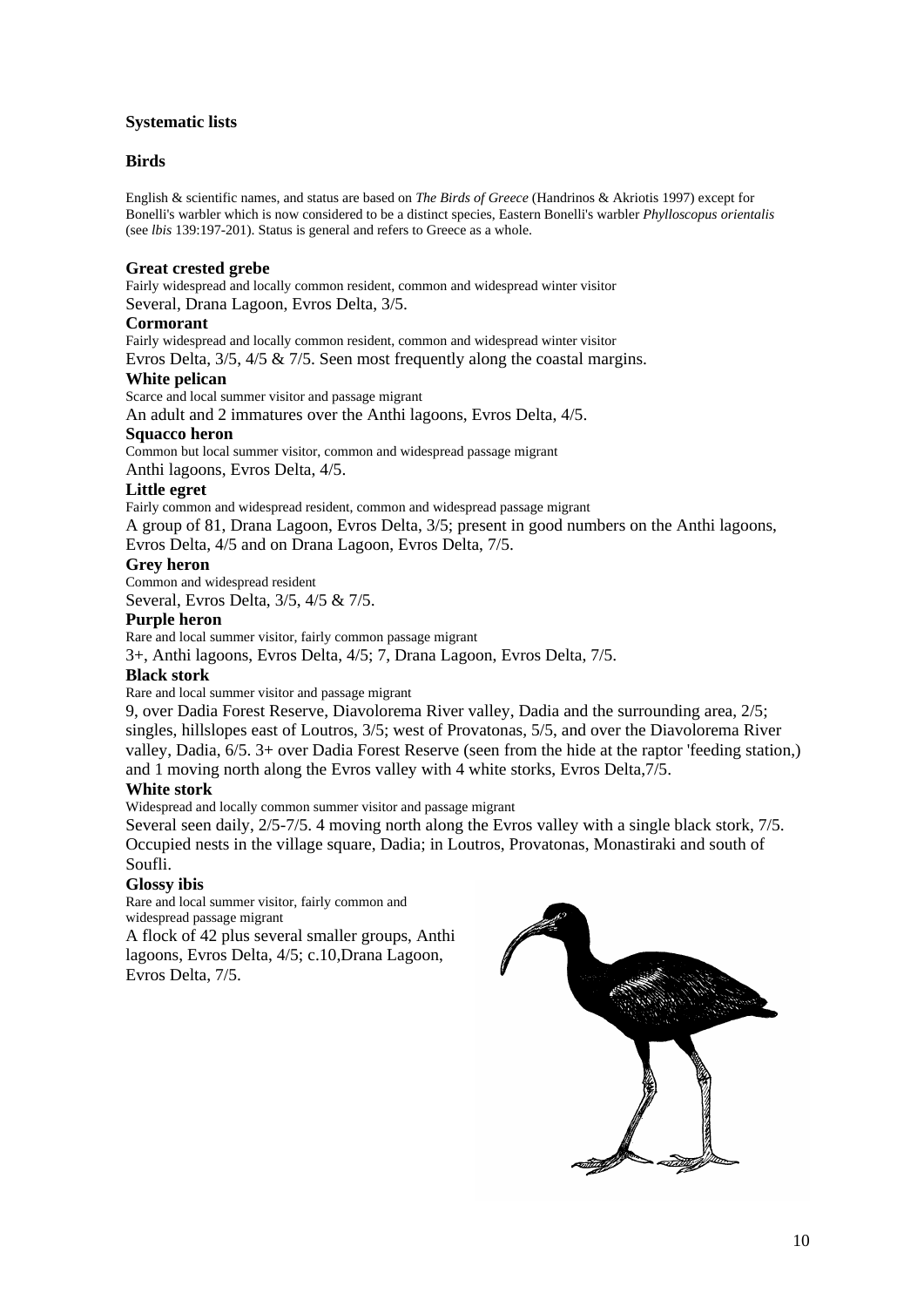# **Systematic lists**

# **Birds**

English & scientific names, and status are based on *The Birds of Greece* (Handrinos & Akriotis 1997) except for Bonelli's warbler which is now considered to be a distinct species, Eastern Bonelli's warbler *Phylloscopus orientalis* (see *lbis* 139:197-201). Status is general and refers to Greece as a whole.

#### **Great crested grebe**

Fairly widespread and locally common resident, common and widespread winter visitor Several, Drana Lagoon, Evros Delta, 3/5.

#### **Cormorant**

Fairly widespread and locally common resident, common and widespread winter visitor

Evros Delta, 3/5, 4/5 & 7/5. Seen most frequently along the coastal margins.

#### **White pelican**

Scarce and local summer visitor and passage migrant

An adult and 2 immatures over the Anthi lagoons, Evros Delta, 4/5.

#### **Squacco heron**

Common but local summer visitor, common and widespread passage migrant

Anthi lagoons, Evros Delta, 4/5.

#### **Little egret**

Fairly common and widespread resident, common and widespread passage migrant A group of 81, Drana Lagoon, Evros Delta, 3/5; present in good numbers on the Anthi lagoons, Evros Delta, 4/5 and on Drana Lagoon, Evros Delta, 7/5.

# **Grey heron**

Common and widespread resident Several, Evros Delta, 3/5, 4/5 & 7/5.

# **Purple heron**

Rare and local summer visitor, fairly common passage migrant

3+, Anthi lagoons, Evros Delta, 4/5; 7, Drana Lagoon, Evros Delta, 7/5.

# **Black stork**

Rare and local summer visitor and passage migrant

9, over Dadia Forest Reserve, Diavolorema River valley, Dadia and the surrounding area, 2/5; singles, hillslopes east of Loutros, 3/5; west of Provatonas, 5/5, and over the Diavolorema River valley, Dadia, 6/5. 3+ over Dadia Forest Reserve (seen from the hide at the raptor 'feeding station,) and 1 moving north along the Evros valley with 4 white storks, Evros Delta,7/5.

# **White stork**

Widespread and locally common summer visitor and passage migrant

Several seen daily, 2/5-7/5. 4 moving north along the Evros valley with a single black stork, 7/5. Occupied nests in the village square, Dadia; in Loutros, Provatonas, Monastiraki and south of Soufli.

# **Glossy ibis**

Rare and local summer visitor, fairly common and widespread passage migrant

A flock of 42 plus several smaller groups, Anthi lagoons, Evros Delta, 4/5; c.10,Drana Lagoon, Evros Delta, 7/5.

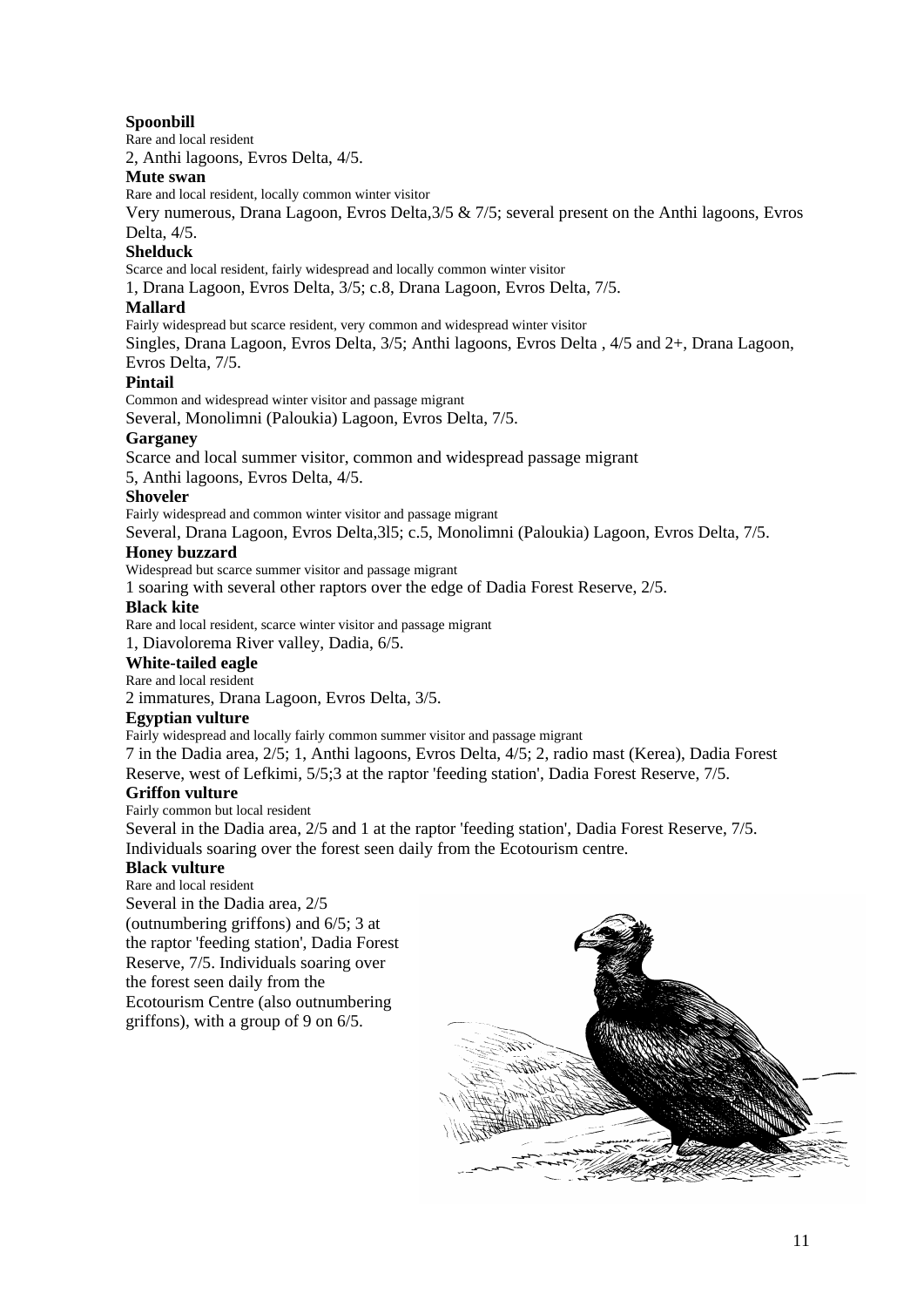# **Spoonbill**

Rare and local resident

2, Anthi lagoons, Evros Delta, 4/5.

# **Mute swan**

Rare and local resident, locally common winter visitor

Very numerous, Drana Lagoon, Evros Delta,3/5 & 7/5; several present on the Anthi lagoons, Evros Delta, 4/5.

#### **Shelduck**

Scarce and local resident, fairly widespread and locally common winter visitor

1, Drana Lagoon, Evros Delta, 3/5; c.8, Drana Lagoon, Evros Delta, 7/5.

#### **Mallard**

Fairly widespread but scarce resident, very common and widespread winter visitor

Singles, Drana Lagoon, Evros Delta, 3/5; Anthi lagoons, Evros Delta , 4/5 and 2+, Drana Lagoon, Evros Delta, 7/5.

# **Pintail**

Common and widespread winter visitor and passage migrant

Several, Monolimni (Paloukia) Lagoon, Evros Delta, 7/5.

#### **Garganey**

Scarce and local summer visitor, common and widespread passage migrant

5, Anthi lagoons, Evros Delta, 4/5.

#### **Shoveler**

Fairly widespread and common winter visitor and passage migrant

Several, Drana Lagoon, Evros Delta,3l5; c.5, Monolimni (Paloukia) Lagoon, Evros Delta, 7/5.

#### **Honey buzzard**

Widespread but scarce summer visitor and passage migrant

1 soaring with several other raptors over the edge of Dadia Forest Reserve, 2/5.

#### **Black kite**

Rare and local resident, scarce winter visitor and passage migrant

1, Diavolorema River valley, Dadia, 6/5.

#### **White-tailed eagle**

Rare and local resident

2 immatures, Drana Lagoon, Evros Delta, 3/5.

# **Egyptian vulture**

Fairly widespread and locally fairly common summer visitor and passage migrant

7 in the Dadia area, 2/5; 1, Anthi lagoons, Evros Delta, 4/5; 2, radio mast (Kerea), Dadia Forest Reserve, west of Lefkimi, 5/5;3 at the raptor 'feeding station', Dadia Forest Reserve, 7/5.

# **Griffon vulture**

Fairly common but local resident

Several in the Dadia area, 2/5 and 1 at the raptor 'feeding station', Dadia Forest Reserve, 7/5. Individuals soaring over the forest seen daily from the Ecotourism centre.

**Black vulture**  Rare and local resident Several in the Dadia area, 2/5 (outnumbering griffons) and 6/5; 3 at the raptor 'feeding station', Dadia Forest Reserve, 7/5. Individuals soaring over the forest seen daily from the Ecotourism Centre (also outnumbering griffons), with a group of 9 on 6/5.

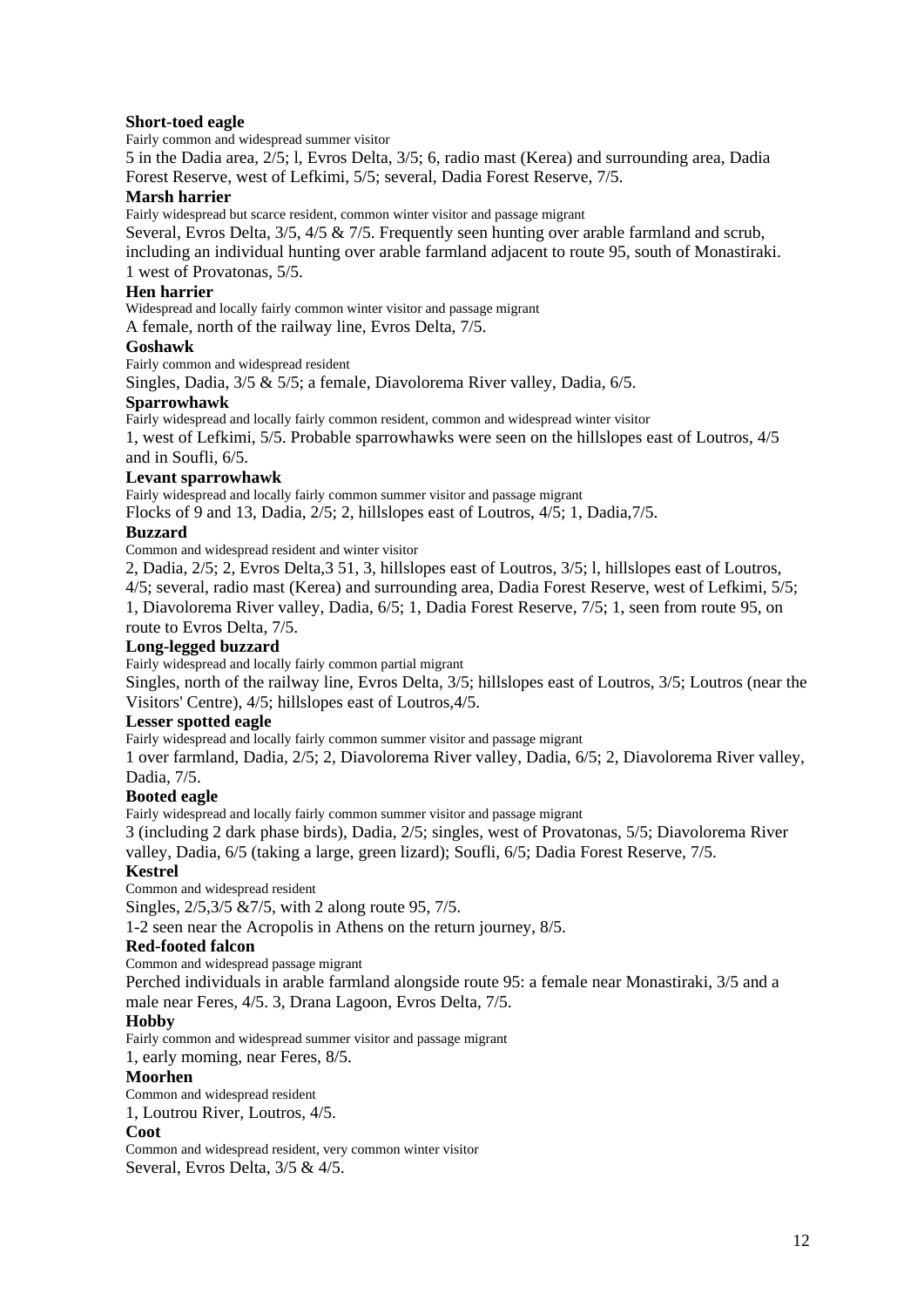# **Short-toed eagle**

Fairly common and widespread summer visitor

5 in the Dadia area, 2/5; l, Evros Delta, 3/5; 6, radio mast (Kerea) and surrounding area, Dadia Forest Reserve, west of Lefkimi, 5/5; several, Dadia Forest Reserve, 7/5.

# **Marsh harrier**

Fairly widespread but scarce resident, common winter visitor and passage migrant

Several, Evros Delta, 3/5, 4/5 & 7/5. Frequently seen hunting over arable farmland and scrub,

including an individual hunting over arable farmland adjacent to route 95, south of Monastiraki. 1 west of Provatonas, 5/5.

# **Hen harrier**

Widespread and locally fairly common winter visitor and passage migrant

A female, north of the railway line, Evros Delta, 7/5.

# **Goshawk**

Fairly common and widespread resident

Singles, Dadia, 3/5 & 5/5; a female, Diavolorema River valley, Dadia, 6/5.

#### **Sparrowhawk**

Fairly widespread and locally fairly common resident, common and widespread winter visitor

1, west of Lefkimi, 5/5. Probable sparrowhawks were seen on the hillslopes east of Loutros, 4/5 and in Soufli, 6/5.

# **Levant sparrowhawk**

Fairly widespread and locally fairly common summer visitor and passage migrant

Flocks of 9 and 13, Dadia, 2/5; 2, hillslopes east of Loutros, 4/5; 1, Dadia,7/5.

# **Buzzard**

Common and widespread resident and winter visitor

2, Dadia, 2/5; 2, Evros Delta,3 51, 3, hillslopes east of Loutros, 3/5; l, hillslopes east of Loutros, 4/5; several, radio mast (Kerea) and surrounding area, Dadia Forest Reserve, west of Lefkimi, 5/5; 1, Diavolorema River valley, Dadia, 6/5; 1, Dadia Forest Reserve, 7/5; 1, seen from route 95, on route to Evros Delta, 7/5.

# **Long-legged buzzard**

Fairly widespread and locally fairly common partial migrant

Singles, north of the railway line, Evros Delta, 3/5; hillslopes east of Loutros, 3/5; Loutros (near the Visitors' Centre), 4/5; hillslopes east of Loutros,4/5.

# **Lesser spotted eagle**

Fairly widespread and locally fairly common summer visitor and passage migrant

1 over farmland, Dadia, 2/5; 2, Diavolorema River valley, Dadia, 6/5; 2, Diavolorema River valley, Dadia, 7/5.

# **Booted eagle**

Fairly widespread and locally fairly common summer visitor and passage migrant

3 (including 2 dark phase birds), Dadia, 2/5; singles, west of Provatonas, 5/5; Diavolorema River valley, Dadia, 6/5 (taking a large, green lizard); Soufli, 6/5; Dadia Forest Reserve, 7/5.

# **Kestrel**

Common and widespread resident

Singles, 2/5,3/5 &7/5, with 2 along route 95, 7/5.

1-2 seen near the Acropolis in Athens on the return journey, 8/5.

# **Red-footed falcon**

Common and widespread passage migrant

Perched individuals in arable farmland alongside route 95: a female near Monastiraki, 3/5 and a male near Feres, 4/5. 3, Drana Lagoon, Evros Delta, 7/5.

# **Hobby**

Fairly common and widespread summer visitor and passage migrant

1, early moming, near Feres, 8/5.

#### **Moorhen**

Common and widespread resident

1, Loutrou River, Loutros, 4/5.

#### **Coot**

Common and widespread resident, very common winter visitor Several, Evros Delta, 3/5 & 4/5.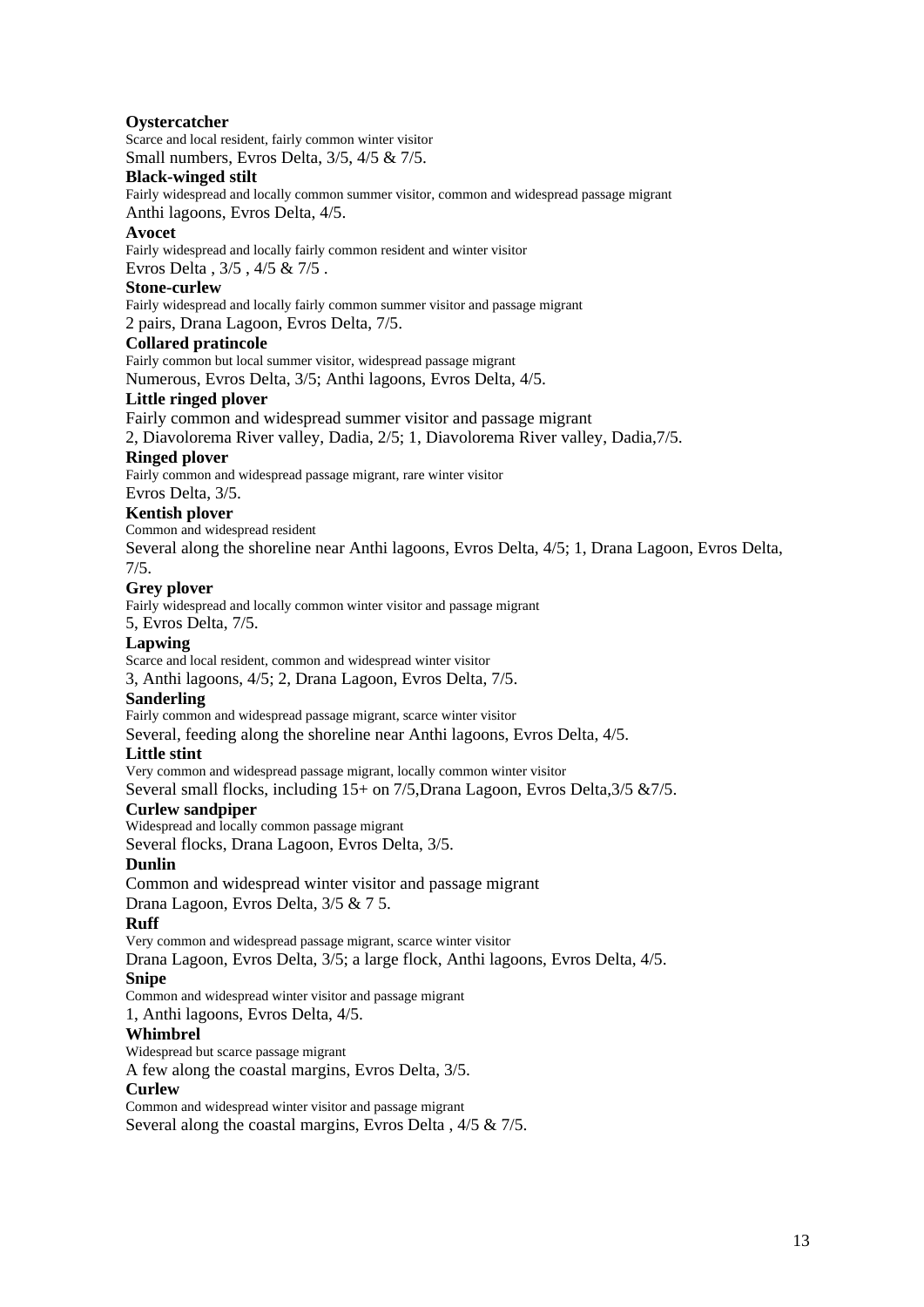# **Oystercatcher**

Scarce and local resident, fairly common winter visitor

Small numbers, Evros Delta, 3/5, 4/5 & 7/5.

# **Black-winged stilt**

Fairly widespread and locally common summer visitor, common and widespread passage migrant Anthi lagoons, Evros Delta, 4/5.

#### **Avocet**

Fairly widespread and locally fairly common resident and winter visitor

Evros Delta , 3/5 , 4/5 & 7/5 .

# **Stone-curlew**

Fairly widespread and locally fairly common summer visitor and passage migrant

2 pairs, Drana Lagoon, Evros Delta, 7/5.

# **Collared pratincole**

Fairly common but local summer visitor, widespread passage migrant

Numerous, Evros Delta, 3/5; Anthi lagoons, Evros Delta, 4/5.

# **Little ringed plover**

Fairly common and widespread summer visitor and passage migrant

2, Diavolorema River valley, Dadia, 2/5; 1, Diavolorema River valley, Dadia,7/5.

#### **Ringed plover**

Fairly common and widespread passage migrant, rare winter visitor

Evros Delta, 3/5.

#### **Kentish plover**

Common and widespread resident

Several along the shoreline near Anthi lagoons, Evros Delta, 4/5; 1, Drana Lagoon, Evros Delta, 7/5.

#### **Grey plover**

Fairly widespread and locally common winter visitor and passage migrant

5, Evros Delta, 7/5.

# **Lapwing**

Scarce and local resident, common and widespread winter visitor

3, Anthi lagoons, 4/5; 2, Drana Lagoon, Evros Delta, 7/5.

# **Sanderling**

Fairly common and widespread passage migrant, scarce winter visitor

Several, feeding along the shoreline near Anthi lagoons, Evros Delta, 4/5.

# **Little stint**

Very common and widespread passage migrant, locally common winter visitor

Several small flocks, including 15+ on 7/5, Drana Lagoon, Evros Delta, 3/5 & 7/5.

# **Curlew sandpiper**

Widespread and locally common passage migrant

Several flocks, Drana Lagoon, Evros Delta, 3/5.

#### **Dunlin**

Common and widespread winter visitor and passage migrant

Drana Lagoon, Evros Delta, 3/5 & 7 5.

#### **Ruff**

Very common and widespread passage migrant, scarce winter visitor

Drana Lagoon, Evros Delta, 3/5; a large flock, Anthi lagoons, Evros Delta, 4/5.

#### **Snipe**

Common and widespread winter visitor and passage migrant

1, Anthi lagoons, Evros Delta, 4/5.

#### **Whimbrel**

Widespread but scarce passage migrant

A few along the coastal margins, Evros Delta, 3/5.

#### **Curlew**

Common and widespread winter visitor and passage migrant Several along the coastal margins, Evros Delta , 4/5 & 7/5.

13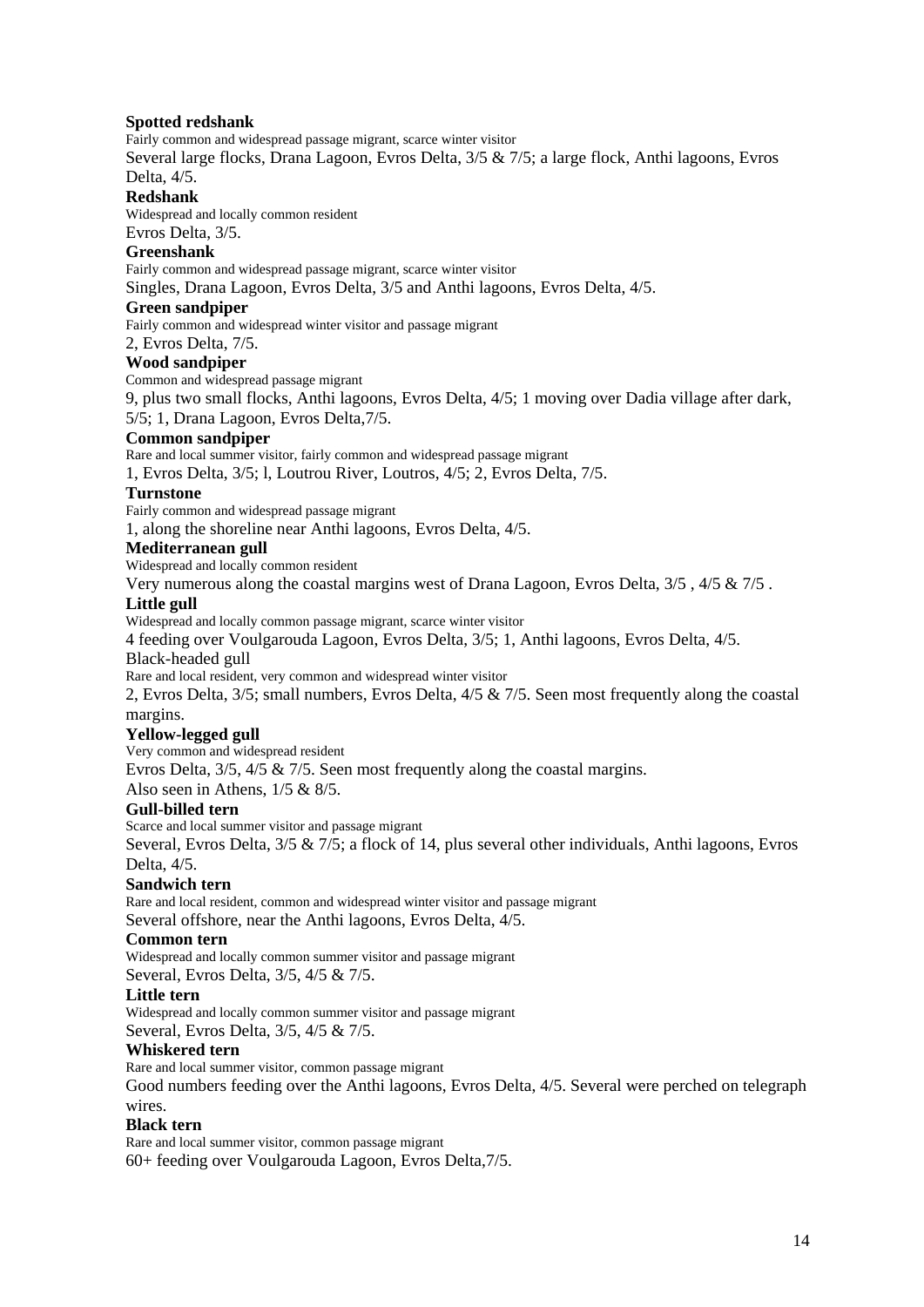## **Spotted redshank**

Fairly common and widespread passage migrant, scarce winter visitor

Several large flocks, Drana Lagoon, Evros Delta, 3/5 & 7/5; a large flock, Anthi lagoons, Evros Delta, 4/5.

#### **Redshank**

Widespread and locally common resident Evros Delta, 3/5.

#### **Greenshank**

Fairly common and widespread passage migrant, scarce winter visitor

Singles, Drana Lagoon, Evros Delta, 3/5 and Anthi lagoons, Evros Delta, 4/5.

#### **Green sandpiper**

Fairly common and widespread winter visitor and passage migrant

2, Evros Delta, 7/5.

#### **Wood sandpiper**

Common and widespread passage migrant

9, plus two small flocks, Anthi lagoons, Evros Delta, 4/5; 1 moving over Dadia village after dark, 5/5; 1, Drana Lagoon, Evros Delta,7/5.

#### **Common sandpiper**

Rare and local summer visitor, fairly common and widespread passage migrant

1, Evros Delta, 3/5; l, Loutrou River, Loutros, 4/5; 2, Evros Delta, 7/5.

#### **Turnstone**

Fairly common and widespread passage migrant

1, along the shoreline near Anthi lagoons, Evros Delta, 4/5.

#### **Mediterranean gull**

Widespread and locally common resident

Very numerous along the coastal margins west of Drana Lagoon, Evros Delta, 3/5 , 4/5 & 7/5 .

#### **Little gull**

Widespread and locally common passage migrant, scarce winter visitor

4 feeding over Voulgarouda Lagoon, Evros Delta, 3/5; 1, Anthi lagoons, Evros Delta, 4/5.

#### Black-headed gull

Rare and local resident, very common and widespread winter visitor

2, Evros Delta, 3/5; small numbers, Evros Delta, 4/5 & 7/5. Seen most frequently along the coastal margins.

# **Yellow-legged gull**

Very common and widespread resident Evros Delta, 3/5, 4/5 & 7/5. Seen most frequently along the coastal margins. Also seen in Athens, 1/5 & 8/5.

# **Gull-billed tern**

Scarce and local summer visitor and passage migrant

Several, Evros Delta, 3/5 & 7/5; a flock of 14, plus several other individuals, Anthi lagoons, Evros Delta, 4/5.

# **Sandwich tern**

Rare and local resident, common and widespread winter visitor and passage migrant Several offshore, near the Anthi lagoons, Evros Delta, 4/5.

#### **Common tern**

Widespread and locally common summer visitor and passage migrant

Several, Evros Delta, 3/5, 4/5 & 7/5.

#### **Little tern**

Widespread and locally common summer visitor and passage migrant Several, Evros Delta, 3/5, 4/5 & 7/5.

# **Whiskered tern**

Rare and local summer visitor, common passage migrant

Good numbers feeding over the Anthi lagoons, Evros Delta, 4/5. Several were perched on telegraph wires.

#### **Black tern**

Rare and local summer visitor, common passage migrant 60+ feeding over Voulgarouda Lagoon, Evros Delta,7/5.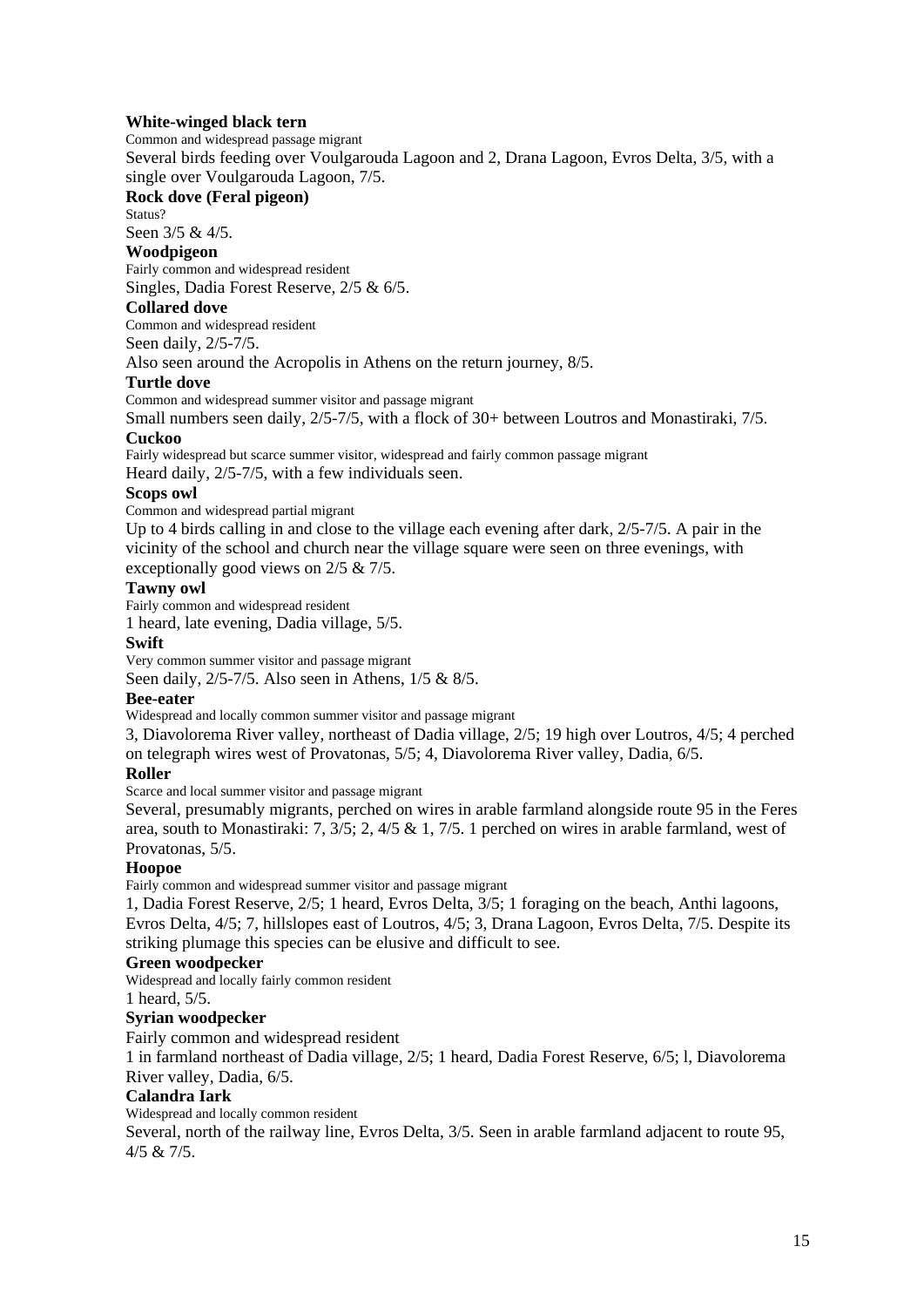#### **White-winged black tern**

Common and widespread passage migrant

Several birds feeding over Voulgarouda Lagoon and 2, Drana Lagoon, Evros Delta, 3/5, with a single over Voulgarouda Lagoon, 7/5.

#### **Rock dove (Feral pigeon)**

Status?

Seen 3/5 & 4/5.

# **Woodpigeon**

Fairly common and widespread resident Singles, Dadia Forest Reserve, 2/5 & 6/5.

#### **Collared dove**

Common and widespread resident

Seen daily, 2/5-7/5.

Also seen around the Acropolis in Athens on the return journey, 8/5.

#### **Turtle dove**

Common and widespread summer visitor and passage migrant

Small numbers seen daily, 2/5-7/5, with a flock of 30+ between Loutros and Monastiraki, 7/5. **Cuckoo** 

Fairly widespread but scarce summer visitor, widespread and fairly common passage migrant Heard daily, 2/5-7/5, with a few individuals seen.

#### **Scops owl**

Common and widespread partial migrant

Up to 4 birds calling in and close to the village each evening after dark, 2/5-7/5. A pair in the vicinity of the school and church near the village square were seen on three evenings, with exceptionally good views on 2/5 & 7/5.

# **Tawny owl**

Fairly common and widespread resident

1 heard, late evening, Dadia village, 5/5.

#### **Swift**

Very common summer visitor and passage migrant

Seen daily, 2/5-7/5. Also seen in Athens, 1/5 & 8/5.

#### **Bee-eater**

Widespread and locally common summer visitor and passage migrant

3, Diavolorema River valley, northeast of Dadia village, 2/5; 19 high over Loutros, 4/5; 4 perched on telegraph wires west of Provatonas, 5/5; 4, Diavolorema River valley, Dadia, 6/5.

# **Roller**

Scarce and local summer visitor and passage migrant

Several, presumably migrants, perched on wires in arable farmland alongside route 95 in the Feres area, south to Monastiraki: 7, 3/5; 2, 4/5 & 1, 7/5. 1 perched on wires in arable farmland, west of Provatonas, 5/5.

# **Hoopoe**

Fairly common and widespread summer visitor and passage migrant

1, Dadia Forest Reserve, 2/5; 1 heard, Evros Delta, 3/5; 1 foraging on the beach, Anthi lagoons, Evros Delta, 4/5; 7, hillslopes east of Loutros, 4/5; 3, Drana Lagoon, Evros Delta, 7/5. Despite its striking plumage this species can be elusive and difficult to see.

# **Green woodpecker**

Widespread and locally fairly common resident

1 heard, 5/5.

# **Syrian woodpecker**

Fairly common and widespread resident

1 in farmland northeast of Dadia village, 2/5; 1 heard, Dadia Forest Reserve, 6/5; l, Diavolorema River valley, Dadia, 6/5.

# **Calandra Iark**

Widespread and locally common resident

Several, north of the railway line, Evros Delta, 3/5. Seen in arable farmland adjacent to route 95, 4/5 & 7/5.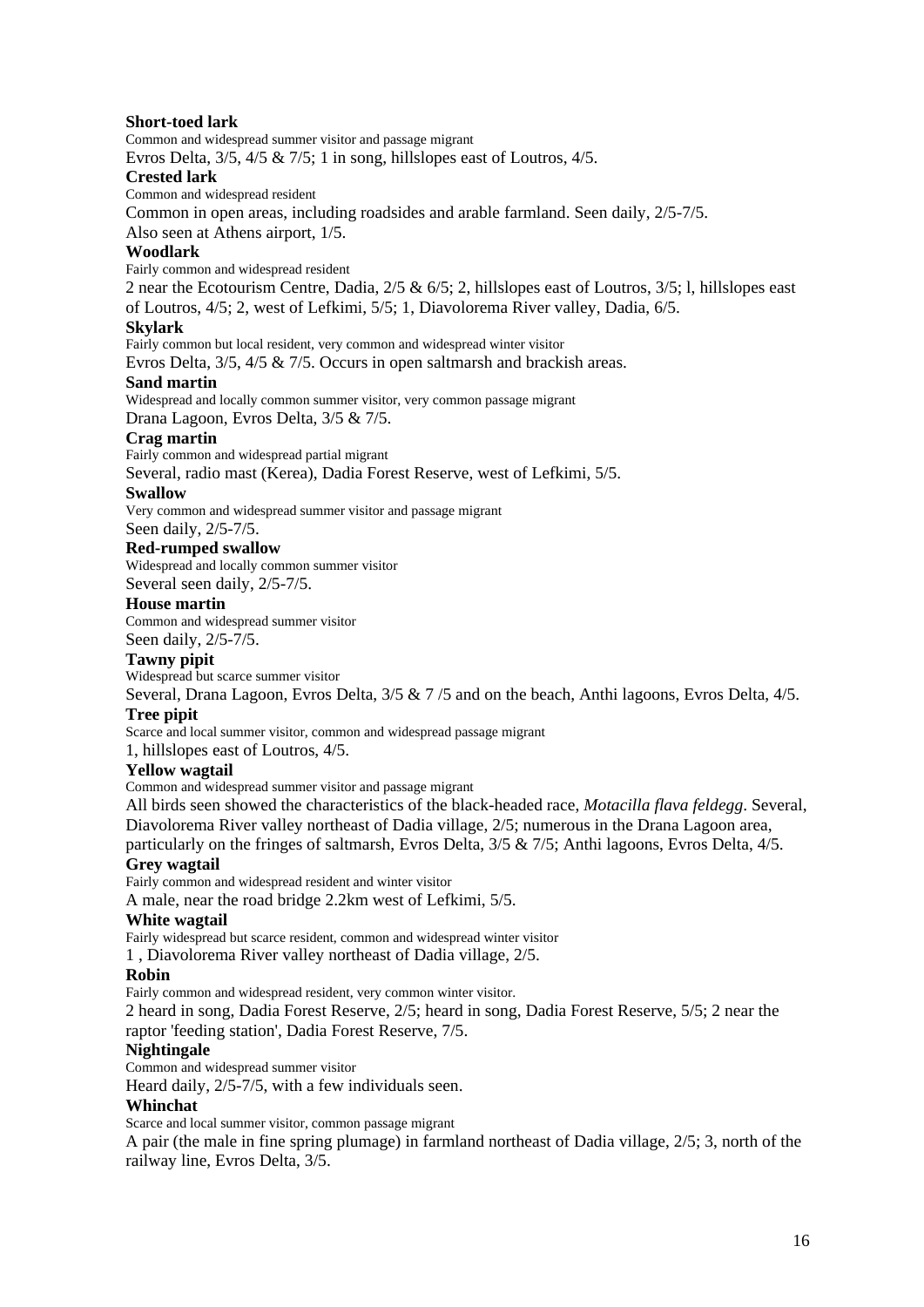#### **Short-toed lark**

Common and widespread summer visitor and passage migrant

Evros Delta, 3/5, 4/5 & 7/5; 1 in song, hillslopes east of Loutros, 4/5.

#### **Crested lark**

Common and widespread resident

Common in open areas, including roadsides and arable farmland. Seen daily, 2/5-7/5.

Also seen at Athens airport, 1/5.

# **Woodlark**

Fairly common and widespread resident

2 near the Ecotourism Centre, Dadia, 2/5 & 6/5; 2, hillslopes east of Loutros, 3/5; l, hillslopes east of Loutros, 4/5; 2, west of Lefkimi, 5/5; 1, Diavolorema River valley, Dadia, 6/5.

#### **Skylark**

Fairly common but local resident, very common and widespread winter visitor

Evros Delta, 3/5, 4/5 & 7/5. Occurs in open saltmarsh and brackish areas.

#### **Sand martin**

Widespread and locally common summer visitor, very common passage migrant Drana Lagoon, Evros Delta, 3/5 & 7/5.

# **Crag martin**

Fairly common and widespread partial migrant

Several, radio mast (Kerea), Dadia Forest Reserve, west of Lefkimi, 5/5.

#### **Swallow**

Very common and widespread summer visitor and passage migrant

Seen daily, 2/5-7/5.

#### **Red-rumped swallow**

Widespread and locally common summer visitor

Several seen daily, 2/5-7/5.

#### **House martin**

Common and widespread summer visitor Seen daily, 2/5-7/5.

# **Tawny pipit**

Widespread but scarce summer visitor

Several, Drana Lagoon, Evros Delta, 3/5 & 7 /5 and on the beach, Anthi lagoons, Evros Delta, 4/5. **Tree pipit** 

Scarce and local summer visitor, common and widespread passage migrant

1, hillslopes east of Loutros, 4/5.

#### **Yellow wagtail**

Common and widespread summer visitor and passage migrant

All birds seen showed the characteristics of the black-headed race, *Motacilla flava feldegg*. Several, Diavolorema River valley northeast of Dadia village, 2/5; numerous in the Drana Lagoon area,

particularly on the fringes of saltmarsh, Evros Delta, 3/5 & 7/5; Anthi lagoons, Evros Delta, 4/5.

#### **Grey wagtail**

Fairly common and widespread resident and winter visitor

A male, near the road bridge 2.2km west of Lefkimi, 5/5.

#### **White wagtail**

Fairly widespread but scarce resident, common and widespread winter visitor

1 , Diavolorema River valley northeast of Dadia village, 2/5.

#### **Robin**

Fairly common and widespread resident, very common winter visitor.

2 heard in song, Dadia Forest Reserve, 2/5; heard in song, Dadia Forest Reserve, 5/5; 2 near the raptor 'feeding station', Dadia Forest Reserve, 7/5.

#### **Nightingale**

Common and widespread summer visitor

Heard daily, 2/5-7/5, with a few individuals seen.

#### **Whinchat**

Scarce and local summer visitor, common passage migrant

A pair (the male in fine spring plumage) in farmland northeast of Dadia village, 2/5; 3, north of the railway line, Evros Delta, 3/5.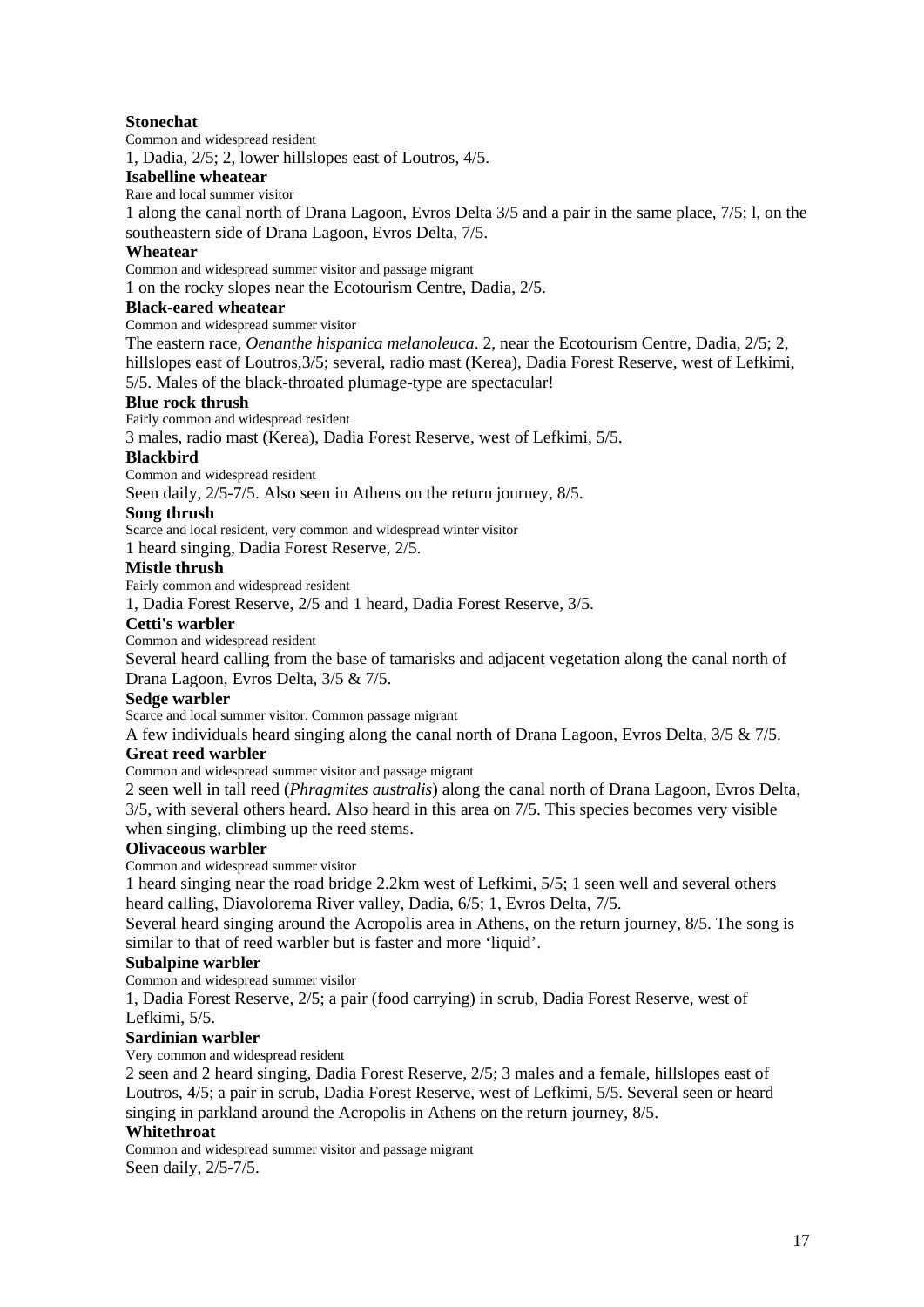# **Stonechat**

Common and widespread resident

1, Dadia, 2/5; 2, lower hillslopes east of Loutros, 4/5.

#### **Isabelline wheatear**

Rare and local summer visitor

1 along the canal north of Drana Lagoon, Evros Delta 3/5 and a pair in the same place, 7/5; l, on the southeastern side of Drana Lagoon, Evros Delta, 7/5.

#### **Wheatear**

Common and widespread summer visitor and passage migrant

1 on the rocky slopes near the Ecotourism Centre, Dadia, 2/5.

# **Black-eared wheatear**

Common and widespread summer visitor

The eastern race, *Oenanthe hispanica melanoleuca*. 2, near the Ecotourism Centre, Dadia, 2/5; 2, hillslopes east of Loutros,  $3/5$ ; several, radio mast (Kerea), Dadia Forest Reserve, west of Lefkimi, 5/5. Males of the black-throated plumage-type are spectacular!

# **Blue rock thrush**

Fairly common and widespread resident

3 males, radio mast (Kerea), Dadia Forest Reserve, west of Lefkimi, 5/5.

# **Blackbird**

Common and widespread resident

Seen daily, 2/5-7/5. Also seen in Athens on the return journey, 8/5.

#### **Song thrush**

Scarce and local resident, very common and widespread winter visitor

1 heard singing, Dadia Forest Reserve, 2/5.

#### **Mistle thrush**

Fairly common and widespread resident

1, Dadia Forest Reserve, 2/5 and 1 heard, Dadia Forest Reserve, 3/5.

#### **Cetti's warbler**

Common and widespread resident

Several heard calling from the base of tamarisks and adjacent vegetation along the canal north of Drana Lagoon, Evros Delta, 3/5 & 7/5.

#### **Sedge warbler**

Scarce and local summer visitor. Common passage migrant

A few individuals heard singing along the canal north of Drana Lagoon, Evros Delta, 3/5 & 7/5.

# **Great reed warbler**

Common and widespread summer visitor and passage migrant

2 seen well in tall reed (*Phragmites australis*) along the canal north of Drana Lagoon, Evros Delta, 3/5, with several others heard. Also heard in this area on 7/5. This species becomes very visible when singing, climbing up the reed stems.

# **Olivaceous warbler**

Common and widespread summer visitor

1 heard singing near the road bridge 2.2km west of Lefkimi, 5/5; 1 seen well and several others heard calling, Diavolorema River valley, Dadia, 6/5; 1, Evros Delta, 7/5.

Several heard singing around the Acropolis area in Athens, on the return journey, 8/5. The song is similar to that of reed warbler but is faster and more 'liquid'.

# **Subalpine warbler**

Common and widespread summer visilor

1, Dadia Forest Reserve, 2/5; a pair (food carrying) in scrub, Dadia Forest Reserve, west of Lefkimi, 5/5.

# **Sardinian warbler**

Very common and widespread resident

2 seen and 2 heard singing, Dadia Forest Reserve, 2/5; 3 males and a female, hillslopes east of Loutros, 4/5; a pair in scrub, Dadia Forest Reserve, west of Lefkimi, 5/5. Several seen or heard singing in parkland around the Acropolis in Athens on the return journey, 8/5.

#### **Whitethroat**

Common and widespread summer visitor and passage migrant Seen daily, 2/5-7/5.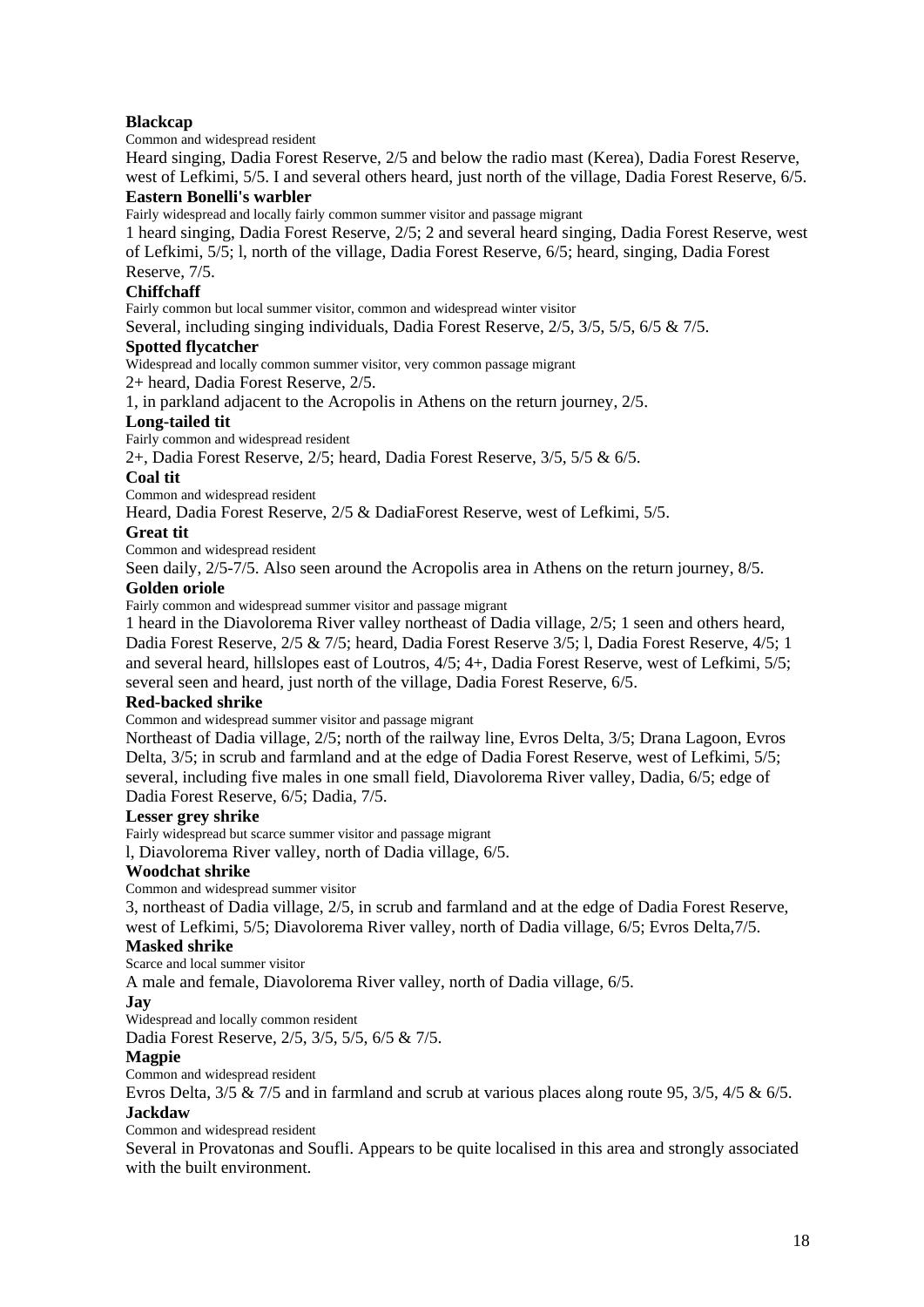# **Blackcap**

Common and widespread resident

Heard singing, Dadia Forest Reserve, 2/5 and below the radio mast (Kerea), Dadia Forest Reserve, west of Lefkimi, 5/5. I and several others heard, just north of the village, Dadia Forest Reserve, 6/5.

#### **Eastern Bonelli's warbler**

Fairly widespread and locally fairly common summer visitor and passage migrant

1 heard singing, Dadia Forest Reserve, 2/5; 2 and several heard singing, Dadia Forest Reserve, west of Lefkimi, 5/5; l, north of the village, Dadia Forest Reserve, 6/5; heard, singing, Dadia Forest Reserve, 7/5.

#### **Chiffchaff**

Fairly common but local summer visitor, common and widespread winter visitor

Several, including singing individuals, Dadia Forest Reserve, 2/5, 3/5, 5/5, 6/5 & 7/5.

#### **Spotted flycatcher**

Widespread and locally common summer visitor, very common passage migrant

2+ heard, Dadia Forest Reserve, 2/5.

1, in parkland adjacent to the Acropolis in Athens on the return journey, 2/5.

#### **Long-tailed tit**

Fairly common and widespread resident

2+, Dadia Forest Reserve, 2/5; heard, Dadia Forest Reserve, 3/5, 5/5 & 6/5.

#### **Coal tit**

Common and widespread resident

Heard, Dadia Forest Reserve, 2/5 & DadiaForest Reserve, west of Lefkimi, 5/5.

#### **Great tit**

Common and widespread resident

Seen daily, 2/5-7/5. Also seen around the Acropolis area in Athens on the return journey, 8/5.

#### **Golden oriole**

Fairly common and widespread summer visitor and passage migrant

1 heard in the Diavolorema River valley northeast of Dadia village, 2/5; 1 seen and others heard, Dadia Forest Reserve, 2/5 & 7/5; heard, Dadia Forest Reserve 3/5; l, Dadia Forest Reserve, 4/5; 1 and several heard, hillslopes east of Loutros, 4/5; 4+, Dadia Forest Reserve, west of Lefkimi, 5/5; several seen and heard, just north of the village, Dadia Forest Reserve, 6/5.

# **Red-backed shrike**

Common and widespread summer visitor and passage migrant

Northeast of Dadia village, 2/5; north of the railway line, Evros Delta, 3/5; Drana Lagoon, Evros Delta, 3/5; in scrub and farmland and at the edge of Dadia Forest Reserve, west of Lefkimi, 5/5; several, including five males in one small field, Diavolorema River valley, Dadia, 6/5; edge of Dadia Forest Reserve, 6/5; Dadia, 7/5.

# **Lesser grey shrike**

Fairly widespread but scarce summer visitor and passage migrant

l, Diavolorema River valley, north of Dadia village, 6/5.

#### **Woodchat shrike**

Common and widespread summer visitor

3, northeast of Dadia village, 2/5, in scrub and farmland and at the edge of Dadia Forest Reserve, west of Lefkimi, 5/5; Diavolorema River valley, north of Dadia village, 6/5; Evros Delta,7/5.

#### **Masked shrike**

Scarce and local summer visitor

A male and female, Diavolorema River valley, north of Dadia village, 6/5.

#### **Jay**

Widespread and locally common resident

Dadia Forest Reserve, 2/5, 3/5, 5/5, 6/5 & 7/5.

# **Magpie**

Common and widespread resident

Evros Delta, 3/5 & 7/5 and in farmland and scrub at various places along route 95, 3/5, 4/5 & 6/5. **Jackdaw** 

Common and widespread resident

Several in Provatonas and Soufli. Appears to be quite localised in this area and strongly associated with the built environment.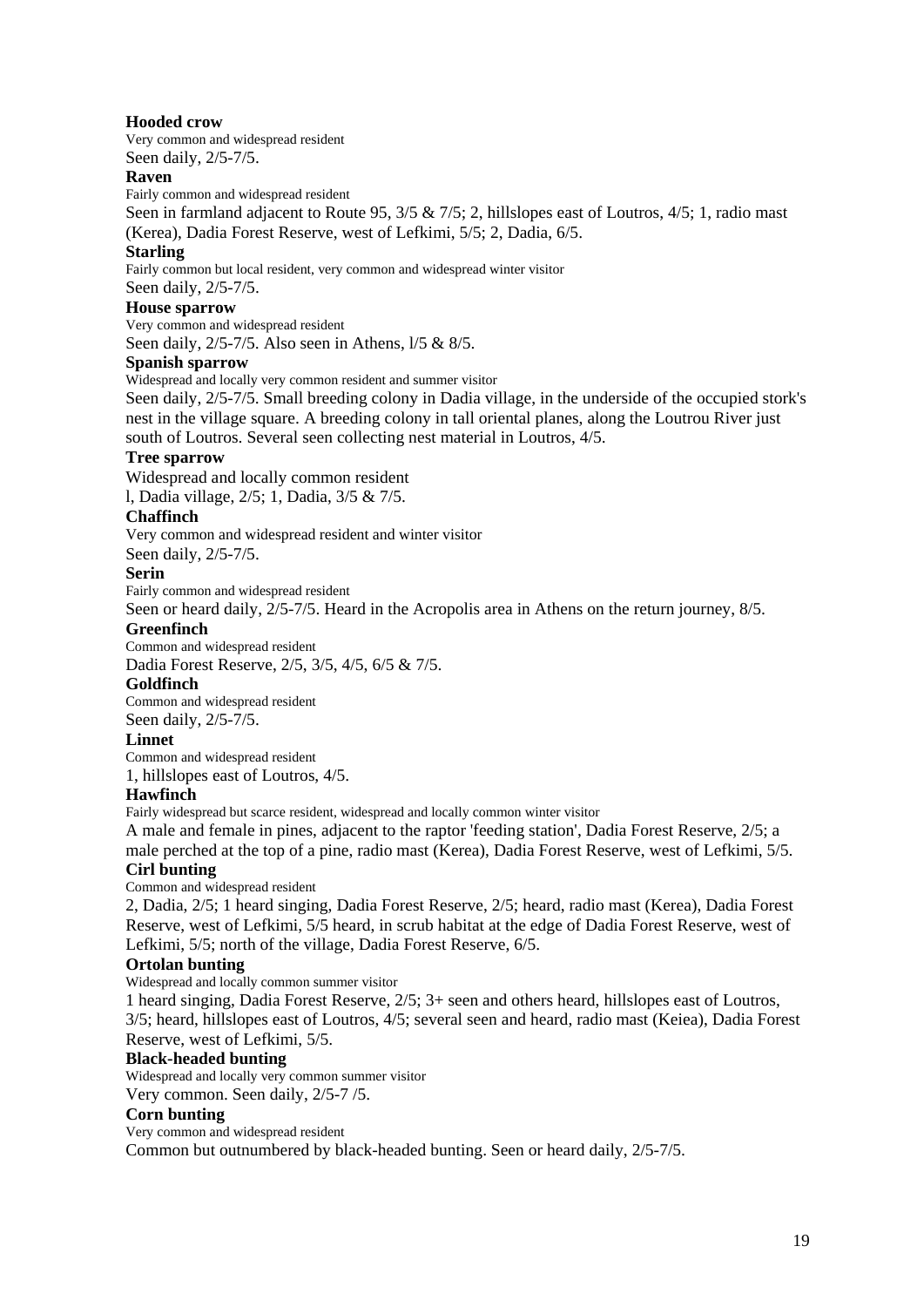#### **Hooded crow**

Very common and widespread resident Seen daily, 2/5-7/5.

#### **Raven**

Fairly common and widespread resident

Seen in farmland adjacent to Route 95, 3/5 & 7/5; 2, hillslopes east of Loutros, 4/5; 1, radio mast (Kerea), Dadia Forest Reserve, west of Lefkimi, 5/5; 2, Dadia, 6/5.

#### **Starling**

Fairly common but local resident, very common and widespread winter visitor

Seen daily, 2/5-7/5.

# **House sparrow**

Very common and widespread resident Seen daily, 2/5-7/5. Also seen in Athens, l/5 & 8/5.

#### **Spanish sparrow**

Widespread and locally very common resident and summer visitor

Seen daily, 2/5-7/5. Small breeding colony in Dadia village, in the underside of the occupied stork's nest in the village square. A breeding colony in tall oriental planes, along the Loutrou River just south of Loutros. Several seen collecting nest material in Loutros, 4/5.

#### **Tree sparrow**

Widespread and locally common resident

l, Dadia village, 2/5; 1, Dadia, 3/5 & 7/5.

#### **Chaffinch**

Very common and widespread resident and winter visitor

Seen daily, 2/5-7/5.

#### **Serin**

Fairly common and widespread resident

Seen or heard daily, 2/5-7/5. Heard in the Acropolis area in Athens on the return journey, 8/5.

#### **Greenfinch**

Common and widespread resident

Dadia Forest Reserve, 2/5, 3/5, 4/5, 6/5 & 7/5.

#### **Goldfinch**

Common and widespread resident Seen daily, 2/5-7/5.

#### **Linnet**

Common and widespread resident

1, hillslopes east of Loutros, 4/5.

#### **Hawfinch**

Fairly widespread but scarce resident, widespread and locally common winter visitor

A male and female in pines, adjacent to the raptor 'feeding station', Dadia Forest Reserve, 2/5; a male perched at the top of a pine, radio mast (Kerea), Dadia Forest Reserve, west of Lefkimi, 5/5.

# **Cirl bunting**

Common and widespread resident

2, Dadia, 2/5; 1 heard singing, Dadia Forest Reserve, 2/5; heard, radio mast (Kerea), Dadia Forest Reserve, west of Lefkimi, 5/5 heard, in scrub habitat at the edge of Dadia Forest Reserve, west of Lefkimi, 5/5; north of the village, Dadia Forest Reserve, 6/5.

# **Ortolan bunting**

Widespread and locally common summer visitor

1 heard singing, Dadia Forest Reserve, 2/5; 3+ seen and others heard, hillslopes east of Loutros, 3/5; heard, hillslopes east of Loutros, 4/5; several seen and heard, radio mast (Keiea), Dadia Forest Reserve, west of Lefkimi, 5/5.

#### **Black-headed bunting**

Widespread and locally very common summer visitor Very common. Seen daily, 2/5-7 /5.

# **Corn bunting**

Very common and widespread resident Common but outnumbered by black-headed bunting. Seen or heard daily, 2/5-7/5.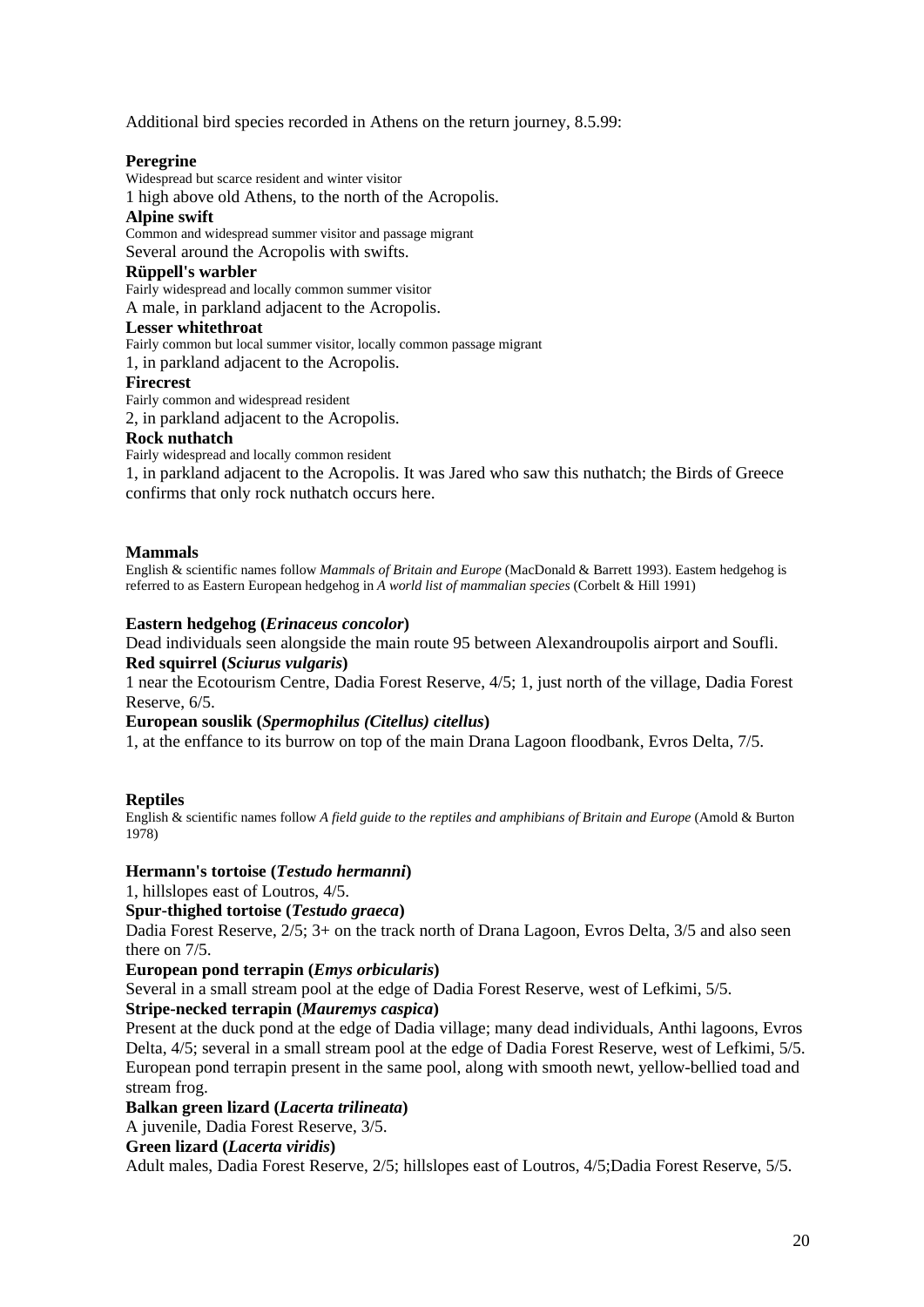Additional bird species recorded in Athens on the return journey, 8.5.99:

# **Peregrine**

Widespread but scarce resident and winter visitor

1 high above old Athens, to the north of the Acropolis.

#### **Alpine swift**

Common and widespread summer visitor and passage migrant

Several around the Acropolis with swifts.

#### **Rüppell's warbler**

Fairly widespread and locally common summer visitor A male, in parkland adjacent to the Acropolis.

#### **Lesser whitethroat**

Fairly common but local summer visitor, locally common passage migrant

1, in parkland adjacent to the Acropolis.

#### **Firecrest**

Fairly common and widespread resident

2, in parkland adjacent to the Acropolis.

# **Rock nuthatch**

Fairly widespread and locally common resident

1, in parkland adjacent to the Acropolis. It was Jared who saw this nuthatch; the Birds of Greece confirms that only rock nuthatch occurs here.

#### **Mammals**

English & scientific names follow *Mammals of Britain and Europe* (MacDonald & Barrett 1993). Eastem hedgehog is referred to as Eastern European hedgehog in *A world list of mammalian species* (Corbelt & Hill 1991)

#### **Eastern hedgehog (***Erinaceus concolor***)**

Dead individuals seen alongside the main route 95 between Alexandroupolis airport and Soufli. **Red squirrel (***Sciurus vulgaris***)** 

1 near the Ecotourism Centre, Dadia Forest Reserve, 4/5; 1, just north of the village, Dadia Forest Reserve, 6/5.

#### **European souslik (***Spermophilus (Citellus) citellus***)**

1, at the enffance to its burrow on top of the main Drana Lagoon floodbank, Evros Delta, 7/5.

# **Reptiles**

English & scientific names follow *A field guide to the reptiles and amphibians of Britain and Europe* (Amold & Burton 1978)

# **Hermann's tortoise (***Testudo hermanni***)**

1, hillslopes east of Loutros, 4/5.

# **Spur-thighed tortoise (***Testudo graeca***)**

Dadia Forest Reserve, 2/5; 3+ on the track north of Drana Lagoon, Evros Delta, 3/5 and also seen there on 7/5.

# **European pond terrapin (***Emys orbicularis***)**

Several in a small stream pool at the edge of Dadia Forest Reserve, west of Lefkimi, 5/5.

# **Stripe-necked terrapin (***Mauremys caspica***)**

Present at the duck pond at the edge of Dadia village; many dead individuals, Anthi lagoons, Evros Delta, 4/5; several in a small stream pool at the edge of Dadia Forest Reserve, west of Lefkimi, 5/5. European pond terrapin present in the same pool, along with smooth newt, yellow-bellied toad and stream frog.

# **Balkan green lizard (***Lacerta trilineata***)**

A juvenile, Dadia Forest Reserve, 3/5.

#### **Green lizard (***Lacerta viridis***)**

Adult males, Dadia Forest Reserve, 2/5; hillslopes east of Loutros, 4/5;Dadia Forest Reserve, 5/5.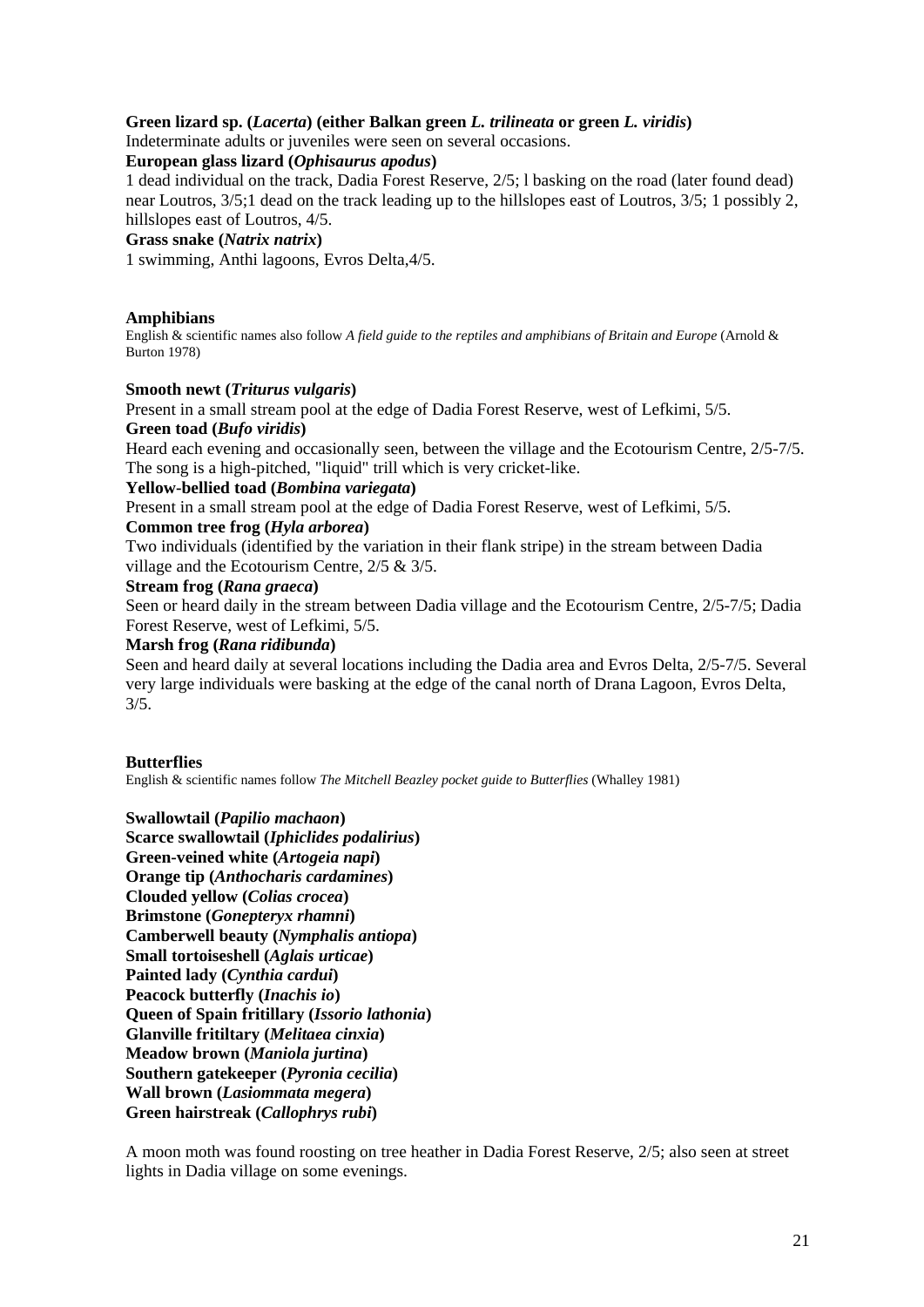# **Green lizard sp. (***Lacerta***) (either Balkan green** *L. trilineata* **or green** *L. viridis***)**

Indeterminate adults or juveniles were seen on several occasions.

#### **European glass lizard (***Ophisaurus apodus***)**

1 dead individual on the track, Dadia Forest Reserve, 2/5; l basking on the road (later found dead) near Loutros, 3/5;1 dead on the track leading up to the hillslopes east of Loutros, 3/5; 1 possibly 2, hillslopes east of Loutros, 4/5.

#### **Grass snake (***Natrix natrix***)**

1 swimming, Anthi lagoons, Evros Delta,4/5.

#### **Amphibians**

English & scientific names also follow *A field guide to the reptiles and amphibians of Britain and Europe* (Arnold & Burton 1978)

#### **Smooth newt (***Triturus vulgaris***)**

Present in a small stream pool at the edge of Dadia Forest Reserve, west of Lefkimi, 5/5. **Green toad (***Bufo viridis***)** 

Heard each evening and occasionally seen, between the village and the Ecotourism Centre, 2/5-7/5. The song is a high-pitched, "liquid" trill which is very cricket-like.

#### **Yellow-bellied toad (***Bombina variegata***)**

Present in a small stream pool at the edge of Dadia Forest Reserve, west of Lefkimi, 5/5.

#### **Common tree frog (***Hyla arborea***)**

Two individuals (identified by the variation in their flank stripe) in the stream between Dadia village and the Ecotourism Centre, 2/5 & 3/5.

#### **Stream frog (***Rana graeca***)**

Seen or heard daily in the stream between Dadia village and the Ecotourism Centre, 2/5-7/5; Dadia Forest Reserve, west of Lefkimi, 5/5.

#### **Marsh frog (***Rana ridibunda***)**

Seen and heard daily at several locations including the Dadia area and Evros Delta, 2/5-7/5. Several very large individuals were basking at the edge of the canal north of Drana Lagoon, Evros Delta, 3/5.

#### **Butterflies**

English & scientific names follow *The Mitchell Beazley pocket guide to Butterflies* (Whalley 1981)

**Swallowtail (***Papilio machaon***) Scarce swallowtail (***Iphiclides podalirius***) Green-veined white (***Artogeia napi***) Orange tip (***Anthocharis cardamines***) Clouded yellow (***Colias crocea***) Brimstone (***Gonepteryx rhamni***) Camberwell beauty (***Nymphalis antiopa***) Small tortoiseshell (***Aglais urticae***) Painted lady (***Cynthia cardui***) Peacock butterfly (***Inachis io***) Queen of Spain fritillary (***Issorio lathonia***) Glanville fritiltary (***Melitaea cinxia***) Meadow brown (***Maniola jurtina***) Southern gatekeeper (***Pyronia cecilia***) Wall brown (***Lasiommata megera***) Green hairstreak (***Callophrys rubi***)** 

A moon moth was found roosting on tree heather in Dadia Forest Reserve, 2/5; also seen at street lights in Dadia village on some evenings.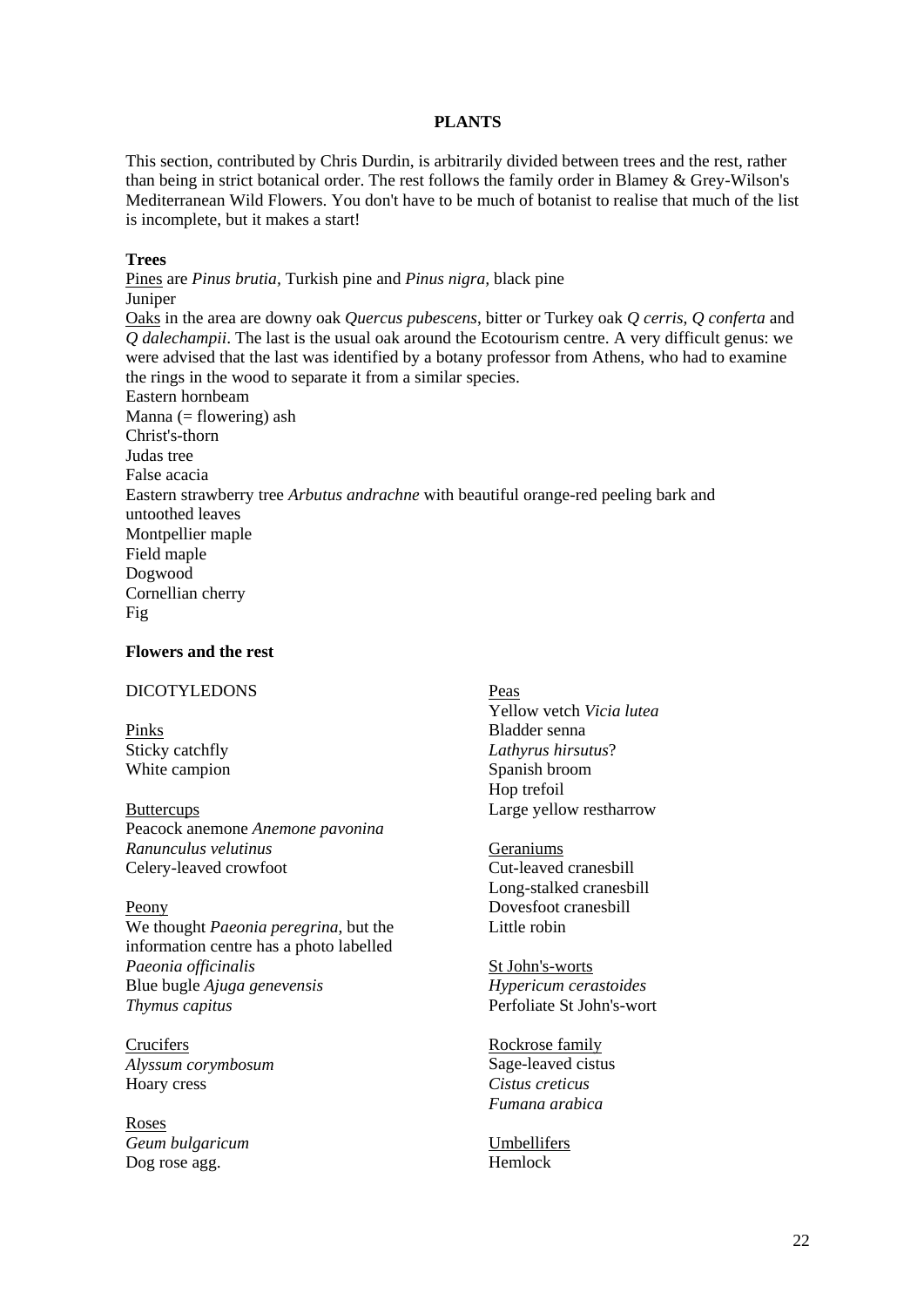#### **PLANTS**

This section, contributed by Chris Durdin, is arbitrarily divided between trees and the rest, rather than being in strict botanical order. The rest follows the family order in Blamey & Grey-Wilson's Mediterranean Wild Flowers. You don't have to be much of botanist to realise that much of the list is incomplete, but it makes a start!

#### **Trees**

Pines are *Pinus brutia,* Turkish pine and *Pinus nigra,* black pine Juniper Oaks in the area are downy oak *Quercus pubescens*, bitter or Turkey oak *Q cerris*, *Q conferta* and *Q dalechampii*. The last is the usual oak around the Ecotourism centre. A very difficult genus: we were advised that the last was identified by a botany professor from Athens, who had to examine the rings in the wood to separate it from a similar species. Eastern hornbeam Manna ( $=$  flowering) ash Christ's-thorn Judas tree False acacia Eastern strawberry tree *Arbutus andrachne* with beautiful orange-red peeling bark and untoothed leaves Montpellier maple Field maple Dogwood Cornellian cherry Fig

#### **Flowers and the rest**

# DICOTYLEDONS

Pinks Sticky catchfly White campion

**Buttercups** Peacock anemone *Anemone pavonina Ranunculus velutinus* Celery-leaved crowfoot

Peony We thought *Paeonia peregrina*, but the information centre has a photo labelled *Paeonia officinalis* Blue bugle *Ajuga genevensis Thymus capitus* 

**Crucifers** *Alyssum corymbosum*  Hoary cress

Roses *Geum bulgaricum*  Dog rose agg.

Peas Yellow vetch *Vicia lutea* Bladder senna *Lathyrus hirsutus*? Spanish broom Hop trefoil Large yellow restharrow

Geraniums Cut-leaved cranesbill Long-stalked cranesbill Dovesfoot cranesbill Little robin

St John's-worts *Hypericum cerastoides*  Perfoliate St John's-wort

Rockrose family Sage-leaved cistus *Cistus creticus Fumana arabica* 

Umbellifers Hemlock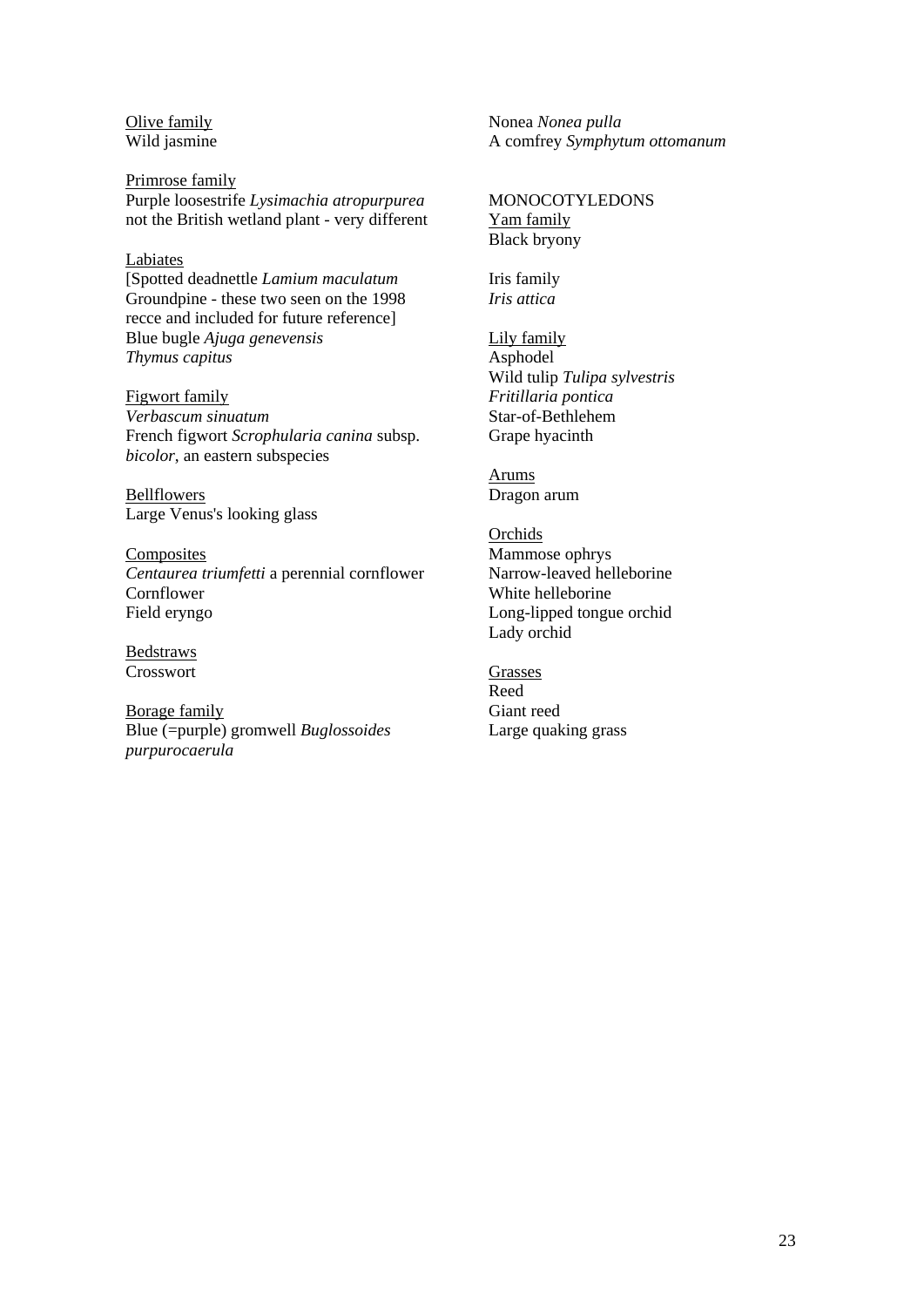Olive family Wild jasmine

Primrose family Purple loosestrife *Lysimachia atropurpurea* not the British wetland plant - very different

#### Labiates

[Spotted deadnettle *Lamium maculatum* Groundpine - these two seen on the 1998 recce and included for future reference] Blue bugle *Ajuga genevensis Thymus capitus* 

Figwort family *Verbascum sinuatum* French figwort *Scrophularia canina* subsp. *bicolor*, an eastern subspecies

Bellflowers Large Venus's looking glass

Composites *Centaurea triumfetti* a perennial cornflower **Cornflower** Field eryngo

Bedstraws Crosswort

Borage family Blue (=purple) gromwell *Buglossoides purpurocaerula* 

Nonea *Nonea pulla*  A comfrey *Symphytum ottomanum* 

# MONOCOTYLEDONS

Yam family Black bryony

Iris family *Iris attica* 

Lily family Asphodel Wild tulip *Tulipa sylvestris Fritillaria pontica*  Star-of-Bethlehem Grape hyacinth

Arums Dragon arum

Orchids Mammose ophrys Narrow-leaved helleborine White helleborine Long-lipped tongue orchid Lady orchid

Grasses Reed Giant reed Large quaking grass